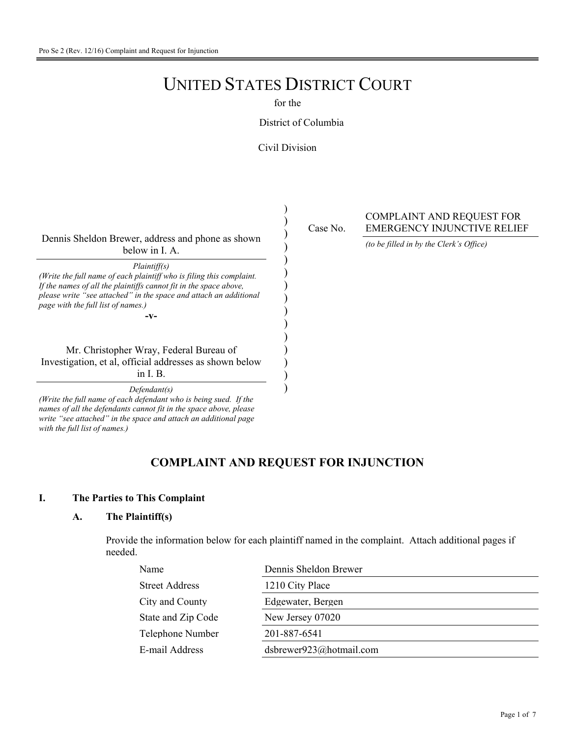# UNITED STATES DISTRICT COURT

for the

#### District of Columbia

#### Civil Division

) ) ) ) ) ) ) ) ) ) ) ) ) ) )

Dennis Sheldon Brewer, address and phone as shown below in I. A.

*Plaintiff(s)*

*(Write the full name of each plaintiff who is filing this complaint. If the names of all the plaintiffs cannot fit in the space above, please write "see attached" in the space and attach an additional page with the full list of names.)*

**-v-**

Mr. Christopher Wray, Federal Bureau of Investigation, et al, official addresses as shown below in I. B.

*Defendant(s)*

*(Write the full name of each defendant who is being sued. If the names of all the defendants cannot fit in the space above, please write "see attached" in the space and attach an additional page with the full list of names.)*

Case No.

COMPLAINT AND REQUEST FOR EMERGENCY INJUNCTIVE RELIEF

*(to be filled in by the Clerk's Office)*

### **COMPLAINT AND REQUEST FOR INJUNCTION**

#### **I. The Parties to This Complaint**

#### **A. The Plaintiff(s)**

 Provide the information below for each plaintiff named in the complaint. Attach additional pages if needed.

| Name                  | Dennis Sheldon Brewer   |
|-----------------------|-------------------------|
| <b>Street Address</b> | 1210 City Place         |
| City and County       | Edgewater, Bergen       |
| State and Zip Code    | New Jersey 07020        |
| Telephone Number      | 201-887-6541            |
| E-mail Address        | dsbrewer923@hotmail.com |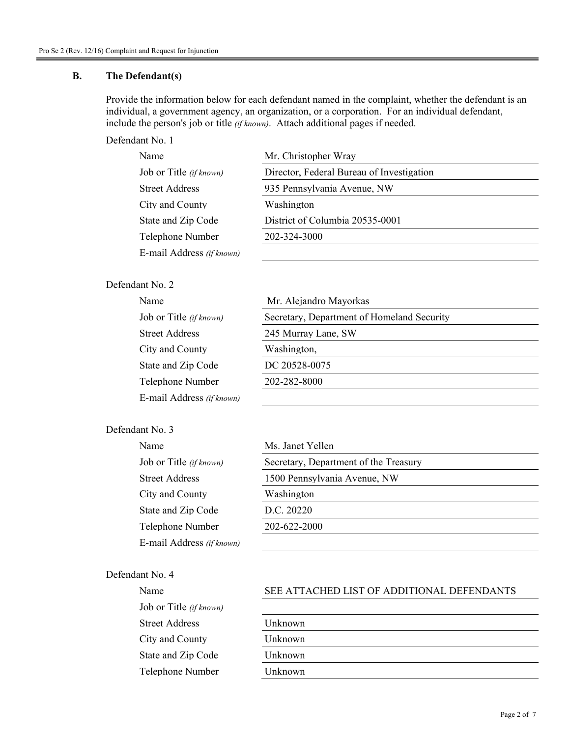#### **B. The Defendant(s)**

 Provide the information below for each defendant named in the complaint, whether the defendant is an individual, a government agency, an organization, or a corporation. For an individual defendant, include the person's job or title *(if known)*. Attach additional pages if needed.

Defendant No. 1

| Name                      | Mr. Christopher Wray                      |
|---------------------------|-------------------------------------------|
| Job or Title (if known)   | Director, Federal Bureau of Investigation |
| Street Address            | 935 Pennsylvania Avenue, NW               |
| City and County           | Washington                                |
| State and Zip Code        | District of Columbia 20535-0001           |
| Telephone Number          | 202-324-3000                              |
| E-mail Address (if known) |                                           |

#### Defendant No. 2

| Name                      | Mr. Alejandro Mayorkas                     |
|---------------------------|--------------------------------------------|
| Job or Title (if known)   | Secretary, Department of Homeland Security |
| <b>Street Address</b>     | 245 Murray Lane, SW                        |
| City and County           | Washington,                                |
| State and Zip Code        | DC 20528-0075                              |
| Telephone Number          | 202-282-8000                               |
| E-mail Address (if known) |                                            |

### Defendant No. 3

| Name                      | Ms. Janet Yellen                      |
|---------------------------|---------------------------------------|
| Job or Title (if known)   | Secretary, Department of the Treasury |
| Street Address            | 1500 Pennsylvania Avenue, NW          |
| City and County           | Washington                            |
| State and Zip Code        | D.C. 20220                            |
| Telephone Number          | 202-622-2000                          |
| E-mail Address (if known) |                                       |

### Defendant No. 4

| Name                    | <b>SEE ATT</b> |
|-------------------------|----------------|
| Job or Title (if known) |                |
| <b>Street Address</b>   | Unknown        |
| City and County         | Unknown        |
| State and Zip Code      | Unknown        |
| Telephone Number        | Unknown        |

#### SEE ATTACHED LIST OF ADDITIONAL DEFENDANTS

| Unknown |  |  |
|---------|--|--|
| Unknown |  |  |
| Unknown |  |  |
| Unknown |  |  |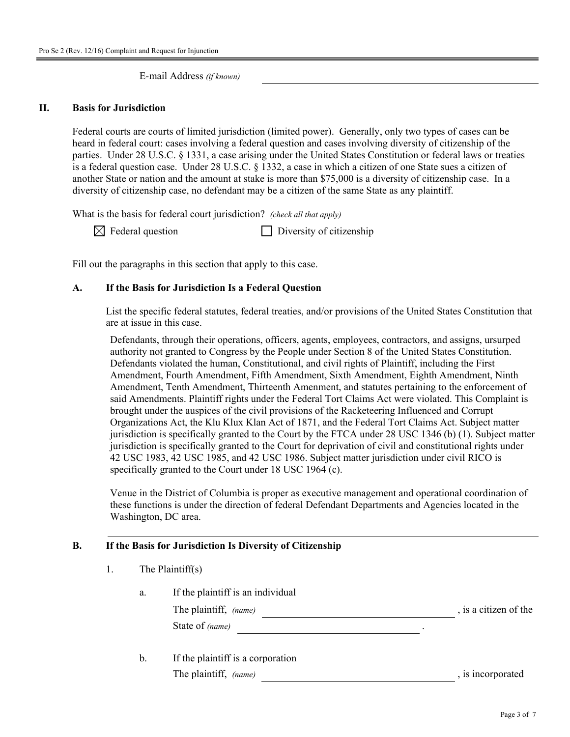E-mail Address *(if known)*

#### **II. Basis for Jurisdiction**

Federal courts are courts of limited jurisdiction (limited power). Generally, only two types of cases can be heard in federal court: cases involving a federal question and cases involving diversity of citizenship of the parties. Under 28 U.S.C. § 1331, a case arising under the United States Constitution or federal laws or treaties is a federal question case. Under 28 U.S.C. § 1332, a case in which a citizen of one State sues a citizen of another State or nation and the amount at stake is more than \$75,000 is a diversity of citizenship case. In a diversity of citizenship case, no defendant may be a citizen of the same State as any plaintiff.

What is the basis for federal court jurisdiction? *(check all that apply)*

 $\boxtimes$  Federal question Diversity of citizenship

Fill out the paragraphs in this section that apply to this case.

#### **A. If the Basis for Jurisdiction Is a Federal Question**

 List the specific federal statutes, federal treaties, and/or provisions of the United States Constitution that are at issue in this case.

Defendants, through their operations, officers, agents, employees, contractors, and assigns, ursurped authority not granted to Congress by the People under Section 8 of the United States Constitution. Defendants violated the human, Constitutional, and civil rights of Plaintiff, including the First Amendment, Fourth Amendment, Fifth Amendment, Sixth Amendment, Eighth Amendment, Ninth Amendment, Tenth Amendment, Thirteenth Amenment, and statutes pertaining to the enforcement of said Amendments. Plaintiff rights under the Federal Tort Claims Act were violated. This Complaint is brought under the auspices of the civil provisions of the Racketeering Influenced and Corrupt Organizations Act, the Klu Klux Klan Act of 1871, and the Federal Tort Claims Act. Subject matter jurisdiction is specifically granted to the Court by the FTCA under 28 USC 1346 (b) (1). Subject matter jurisdiction is specifically granted to the Court for deprivation of civil and constitutional rights under 42 USC 1983, 42 USC 1985, and 42 USC 1986. Subject matter jurisdiction under civil RICO is specifically granted to the Court under 18 USC 1964 (c).

Venue in the District of Columbia is proper as executive management and operational coordination of these functions is under the direction of federal Defendant Departments and Agencies located in the Washington, DC area.

#### **B. If the Basis for Jurisdiction Is Diversity of Citizenship**

| The Plaintiff $(s)$ |
|---------------------|
|                     |

| a. | If the plaintiff is an individual                                                         |                       |
|----|-------------------------------------------------------------------------------------------|-----------------------|
|    | The plaintiff, (name)                                                                     | , is a citizen of the |
|    | State of (name)                                                                           |                       |
|    | $\mathbf{r} \cdot \mathbf{r}$ $\mathbf{r} \cdot \mathbf{r}$ $\mathbf{r} \cdot \mathbf{r}$ |                       |

b. If the plaintiff is a corporation The plaintiff, *(name)* , is incorporated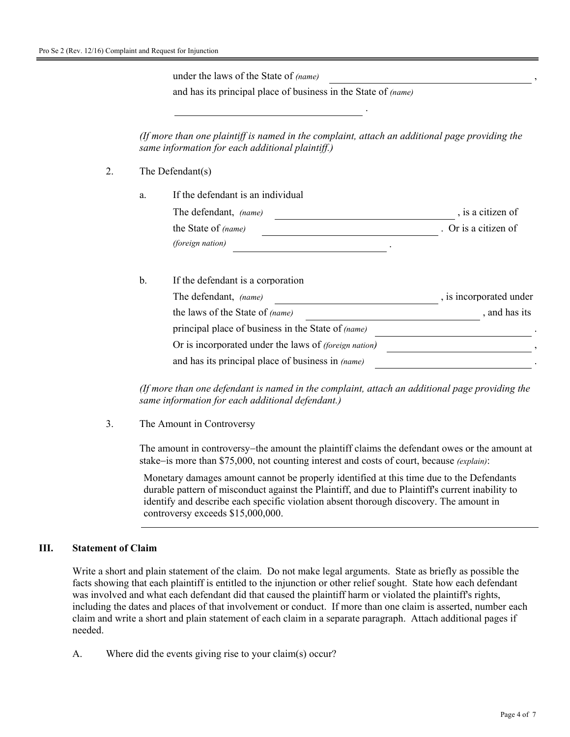under the laws of the State of *(name)* 

and has its principal place of business in the State of *(name)*

 *(If more than one plaintiff is named in the complaint, attach an additional page providing the same information for each additional plaintiff.)*

.

- 2. The Defendant(s)
	- a. If the defendant is an individual The defendant, *(name)*  $\qquad \qquad$ , is a citizen of the State of *(name)* . Or is a citizen of *(foreign nation)* .

#### b. If the defendant is a corporation

| The defendant, <i>(name)</i>                                 | , is incorporated under |
|--------------------------------------------------------------|-------------------------|
| the laws of the State of (name)                              | , and has its           |
| principal place of business in the State of <i>(name)</i>    |                         |
| Or is incorporated under the laws of <i>(foreign nation)</i> |                         |
| and has its principal place of business in (name)            |                         |

 *(If more than one defendant is named in the complaint, attach an additional page providing the same information for each additional defendant.)*

3. The Amount in Controversy

 The amount in controversy−the amount the plaintiff claims the defendant owes or the amount at stake−is more than \$75,000, not counting interest and costs of court, because *(explain)*:

Monetary damages amount cannot be properly identified at this time due to the Defendants durable pattern of misconduct against the Plaintiff, and due to Plaintiff's current inability to identify and describe each specific violation absent thorough discovery. The amount in controversy exceeds \$15,000,000.

#### **III. Statement of Claim**

Write a short and plain statement of the claim. Do not make legal arguments. State as briefly as possible the facts showing that each plaintiff is entitled to the injunction or other relief sought. State how each defendant was involved and what each defendant did that caused the plaintiff harm or violated the plaintiff's rights, including the dates and places of that involvement or conduct. If more than one claim is asserted, number each claim and write a short and plain statement of each claim in a separate paragraph. Attach additional pages if needed.

A. Where did the events giving rise to your claim(s) occur?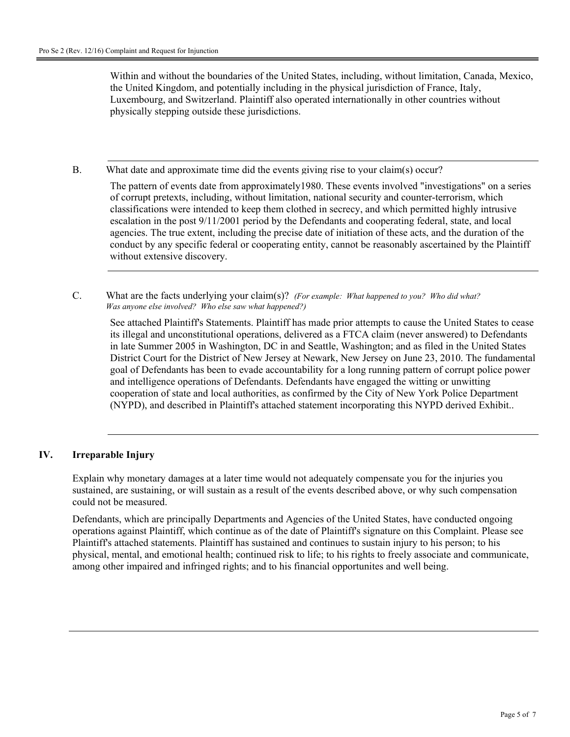Within and without the boundaries of the United States, including, without limitation, Canada, Mexico, the United Kingdom, and potentially including in the physical jurisdiction of France, Italy, Luxembourg, and Switzerland. Plaintiff also operated internationally in other countries without physically stepping outside these jurisdictions.

B. What date and approximate time did the events giving rise to your claim(s) occur?

The pattern of events date from approximately1980. These events involved "investigations" on a series of corrupt pretexts, including, without limitation, national security and counter-terrorism, which classifications were intended to keep them clothed in secrecy, and which permitted highly intrusive escalation in the post 9/11/2001 period by the Defendants and cooperating federal, state, and local agencies. The true extent, including the precise date of initiation of these acts, and the duration of the conduct by any specific federal or cooperating entity, cannot be reasonably ascertained by the Plaintiff without extensive discovery.

C. What are the facts underlying your claim(s)? *(For example: What happened to you? Who did what? Was anyone else involved? Who else saw what happened?)* 

See attached Plaintiff's Statements. Plaintiff has made prior attempts to cause the United States to cease its illegal and unconstitutional operations, delivered as a FTCA claim (never answered) to Defendants in late Summer 2005 in Washington, DC in and Seattle, Washington; and as filed in the United States District Court for the District of New Jersey at Newark, New Jersey on June 23, 2010. The fundamental goal of Defendants has been to evade accountability for a long running pattern of corrupt police power and intelligence operations of Defendants. Defendants have engaged the witting or unwitting cooperation of state and local authorities, as confirmed by the City of New York Police Department (NYPD), and described in Plaintiff's attached statement incorporating this NYPD derived Exhibit..

### **IV. Irreparable Injury**

Explain why monetary damages at a later time would not adequately compensate you for the injuries you sustained, are sustaining, or will sustain as a result of the events described above, or why such compensation could not be measured.

Defendants, which are principally Departments and Agencies of the United States, have conducted ongoing operations against Plaintiff, which continue as of the date of Plaintiff's signature on this Complaint. Please see Plaintiff's attached statements. Plaintiff has sustained and continues to sustain injury to his person; to his physical, mental, and emotional health; continued risk to life; to his rights to freely associate and communicate, among other impaired and infringed rights; and to his financial opportunites and well being.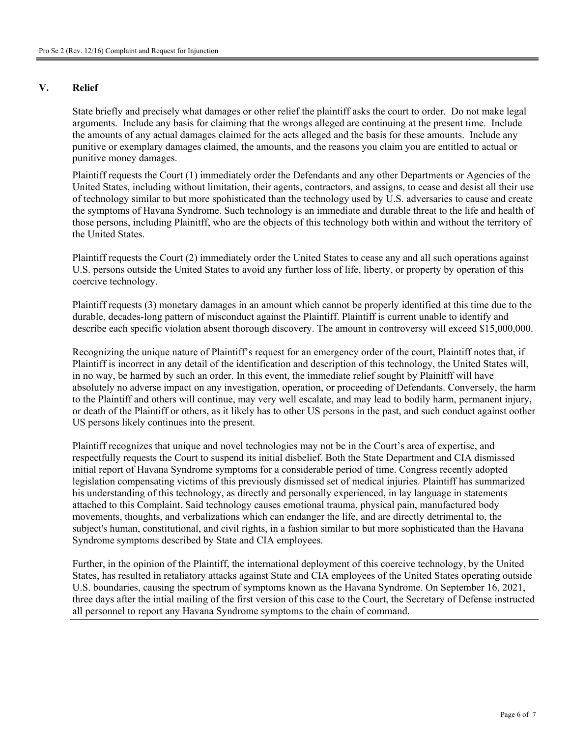#### **V. Relief**

State briefly and precisely what damages or other relief the plaintiff asks the court to order. Do not make legal arguments. Include any basis for claiming that the wrongs alleged are continuing at the present time. Include the amounts of any actual damages claimed for the acts alleged and the basis for these amounts. Include any punitive or exemplary damages claimed, the amounts, and the reasons you claim you are entitled to actual or punitive money damages.

Plaintiff requests the Court (1) immediately order the Defendants and any other Departments or Agencies of the United States, including without limitation, their agents, contractors, and assigns, to cease and desist all their use of technology similar to but more spohisticated than the technology used by U.S. adversaries to cause and create the symptoms of Havana Syndrome. Such technology is an immediate and durable threat to the life and health of those persons, including Plainitff, who are the objects of this technology both within and without the territory of the United States.

Plaintiff requests the Court (2) immediately order the United States to cease any and all such operations against U.S. persons outside the United States to avoid any further loss of life, liberty, or property by operation of this coercive technology.

Plaintiff requests (3) monetary damages in an amount which cannot be properly identified at this time due to the durable, decades-long pattern of misconduct against the Plaintiff. Plaintiff is current unable to identify and describe each specific violation absent thorough discovery. The amount in controversy will exceed \$15,000,000.

Recognizing the unique nature of Plaintiff's request for an emergency order of the court, Plaintiff notes that, if Plaintiff is incorrect in any detail of the identification and description of this technology, the United States will, in no way, be harmed by such an order. In this event, the immediate relief sought by Plainitff will have absolutely no adverse impact on any investigation, operation, or proceeding of Defendants. Conversely, the harm to the Plaintiff and others will continue, may very well escalate, and may lead to bodily harm, permanent injury, or death of the Plaintiff or others, as it likely has to other US persons in the past, and such conduct against oother US persons likely continues into the present.

Plaintiff recognizes that unique and novel technologies may not be in the Court's area of expertise, and respectfully requests the Court to suspend its initial disbelief. Both the State Department and CIA dismissed initial report of Havana Syndrome symptoms for a considerable period of time. Congress recently adopted legislation compensating victims of this previously dismissed set of medical injuries. Plaintiff has summarized his understanding of this technology, as directly and personally experienced, in lay language in statements attached to this Complaint. Said technology causes emotional trauma, physical pain, manufactured body movements, thoughts, and verbalizations which can endanger the life, and are directly detrimental to, the subject's human, constitutional, and civil rights, in a fashion similar to but more sophisticated than the Havana Syndrome symptoms described by State and CIA employees.

Further, in the opinion of the Plaintiff, the international deployment of this coercive technology, by the United States, has resulted in retaliatory attacks against State and CIA employees of the United States operating outside U.S. boundaries, causing the spectrum of symptoms known as the Havana Syndrome. On September 16, 2021, three days after the intial mailing of the first version of this case to the Court, the Secretary of Defense instructed all personnel to report any Havana Syndrome symptoms to the chain of command.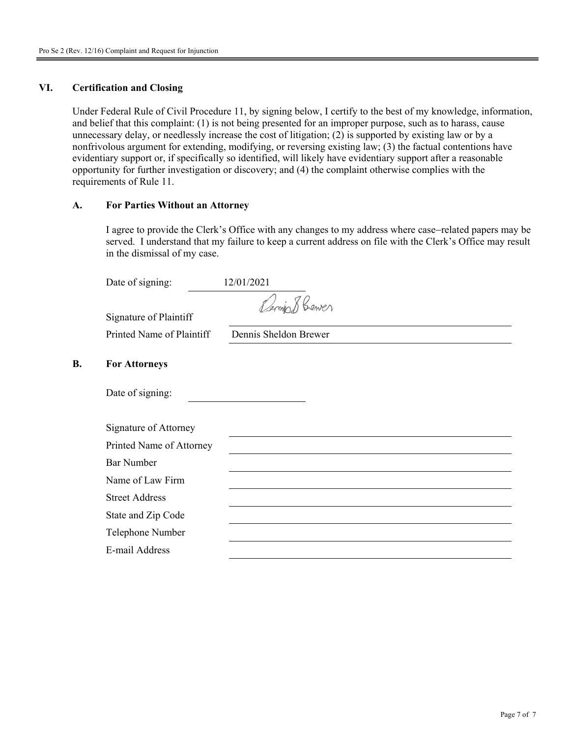#### **VI. Certification and Closing**

Under Federal Rule of Civil Procedure 11, by signing below, I certify to the best of my knowledge, information, and belief that this complaint: (1) is not being presented for an improper purpose, such as to harass, cause unnecessary delay, or needlessly increase the cost of litigation; (2) is supported by existing law or by a nonfrivolous argument for extending, modifying, or reversing existing law; (3) the factual contentions have evidentiary support or, if specifically so identified, will likely have evidentiary support after a reasonable opportunity for further investigation or discovery; and (4) the complaint otherwise complies with the requirements of Rule 11.

#### **A. For Parties Without an Attorney**

 I agree to provide the Clerk's Office with any changes to my address where case−related papers may be served. I understand that my failure to keep a current address on file with the Clerk's Office may result in the dismissal of my case.

|           | Date of signing:          | 12/01/2021            |
|-----------|---------------------------|-----------------------|
|           | Signature of Plaintiff    | Cerminal Bener        |
|           | Printed Name of Plaintiff | Dennis Sheldon Brewer |
| <b>B.</b> | <b>For Attorneys</b>      |                       |
|           | Date of signing:          |                       |
|           | Signature of Attorney     |                       |
|           | Printed Name of Attorney  |                       |
|           | <b>Bar Number</b>         |                       |
|           | Name of Law Firm          |                       |
|           | <b>Street Address</b>     |                       |
|           | State and Zip Code        |                       |
|           | Telephone Number          |                       |
|           | E-mail Address            |                       |
|           |                           |                       |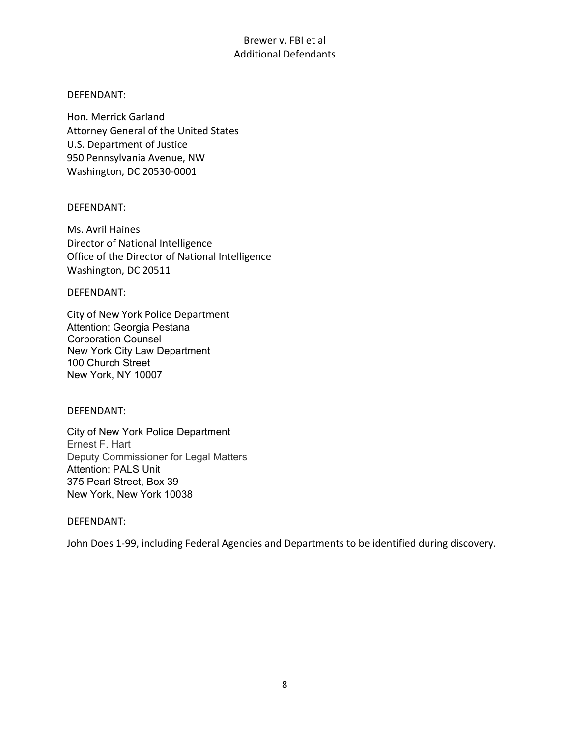### Brewer v. FBI et al Additional Defendants

### DEFENDANT:

Hon. Merrick Garland Attorney General of the United States U.S. Department of Justice 950 Pennsylvania Avenue, NW Washington, DC 20530-0001

### DEFENDANT:

Ms. Avril Haines Director of National Intelligence Office of the Director of National Intelligence Washington, DC 20511

DEFENDANT:

City of New York Police Department Attention: Georgia Pestana Corporation Counsel New York City Law Department 100 Church Street New York, NY 10007

#### DEFENDANT:

City of New York Police Department Ernest F. Hart Deputy Commissioner for Legal Matters Attention: PALS Unit 375 Pearl Street, Box 39 New York, New York 10038

#### DEFENDANT:

John Does 1-99, including Federal Agencies and Departments to be identified during discovery.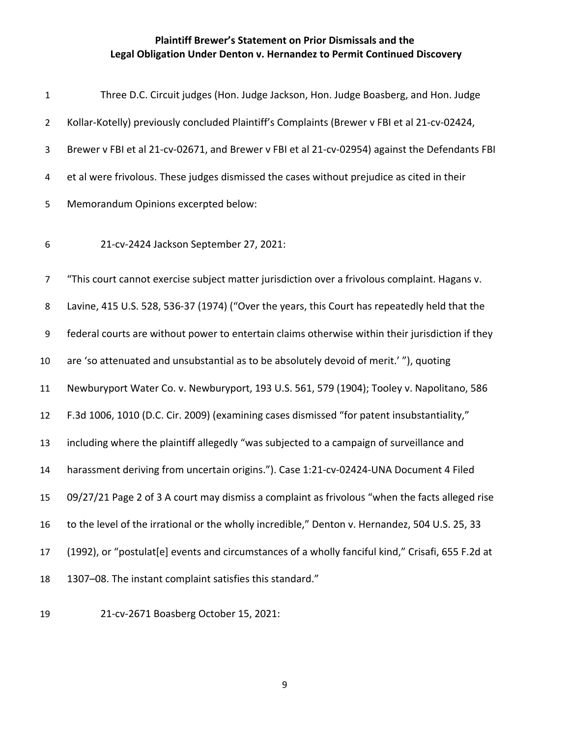| $\mathbf{1}$   | Three D.C. Circuit judges (Hon. Judge Jackson, Hon. Judge Boasberg, and Hon. Judge                |
|----------------|---------------------------------------------------------------------------------------------------|
| $\overline{2}$ | Kollar-Kotelly) previously concluded Plaintiff's Complaints (Brewer v FBI et al 21-cv-02424,      |
| 3              | Brewer v FBI et al 21-cv-02671, and Brewer v FBI et al 21-cv-02954) against the Defendants FBI    |
| 4              | et al were frivolous. These judges dismissed the cases without prejudice as cited in their        |
| 5              | Memorandum Opinions excerpted below:                                                              |
| 6              | 21-cv-2424 Jackson September 27, 2021:                                                            |
| $\overline{7}$ | "This court cannot exercise subject matter jurisdiction over a frivolous complaint. Hagans v.     |
| 8              | Lavine, 415 U.S. 528, 536-37 (1974) ("Over the years, this Court has repeatedly held that the     |
| 9              | federal courts are without power to entertain claims otherwise within their jurisdiction if they  |
| 10             | are 'so attenuated and unsubstantial as to be absolutely devoid of merit.'"), quoting             |
| 11             | Newburyport Water Co. v. Newburyport, 193 U.S. 561, 579 (1904); Tooley v. Napolitano, 586         |
| 12             | F.3d 1006, 1010 (D.C. Cir. 2009) (examining cases dismissed "for patent insubstantiality,"        |
| 13             | including where the plaintiff allegedly "was subjected to a campaign of surveillance and          |
| 14             | harassment deriving from uncertain origins."). Case 1:21-cv-02424-UNA Document 4 Filed            |
| 15             | 09/27/21 Page 2 of 3 A court may dismiss a complaint as frivolous "when the facts alleged rise    |
| 16             | to the level of the irrational or the wholly incredible," Denton v. Hernandez, 504 U.S. 25, 33    |
| 17             | (1992), or "postulat[e] events and circumstances of a wholly fanciful kind," Crisafi, 655 F.2d at |
| 18             | 1307-08. The instant complaint satisfies this standard."                                          |
|                |                                                                                                   |

19 21-cv-2671 Boasberg October 15, 2021: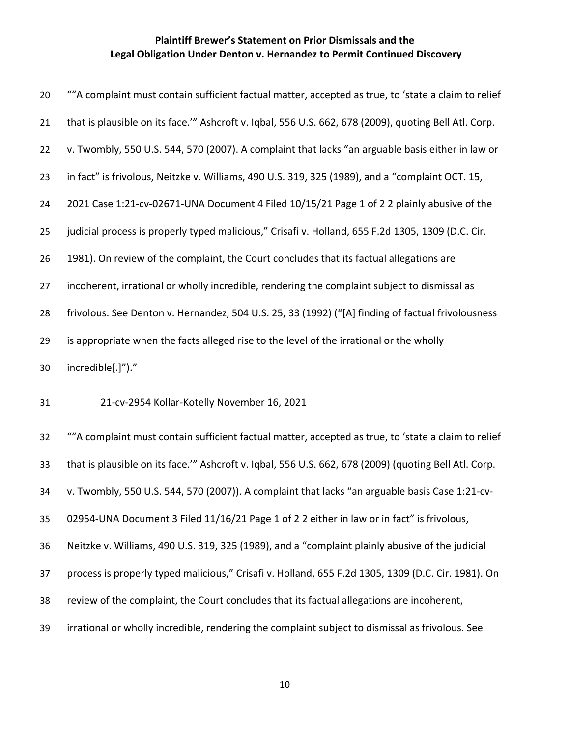| 20 | ""A complaint must contain sufficient factual matter, accepted as true, to 'state a claim to relief   |
|----|-------------------------------------------------------------------------------------------------------|
| 21 | that is plausible on its face."" Ashcroft v. Iqbal, 556 U.S. 662, 678 (2009), quoting Bell Atl. Corp. |
| 22 | v. Twombly, 550 U.S. 544, 570 (2007). A complaint that lacks "an arguable basis either in law or      |
| 23 | in fact" is frivolous, Neitzke v. Williams, 490 U.S. 319, 325 (1989), and a "complaint OCT. 15,       |
| 24 | 2021 Case 1:21-cv-02671-UNA Document 4 Filed 10/15/21 Page 1 of 2 2 plainly abusive of the            |
| 25 | judicial process is properly typed malicious," Crisafi v. Holland, 655 F.2d 1305, 1309 (D.C. Cir.     |
| 26 | 1981). On review of the complaint, the Court concludes that its factual allegations are               |
| 27 | incoherent, irrational or wholly incredible, rendering the complaint subject to dismissal as          |
| 28 | frivolous. See Denton v. Hernandez, 504 U.S. 25, 33 (1992) ("[A] finding of factual frivolousness     |
| 29 | is appropriate when the facts alleged rise to the level of the irrational or the wholly               |
| 30 | incredible[.]")."                                                                                     |
| 31 | 21-cv-2954 Kollar-Kotelly November 16, 2021                                                           |
| 32 | ""A complaint must contain sufficient factual matter, accepted as true, to 'state a claim to relief   |
| 33 | that is plausible on its face."" Ashcroft v. Iqbal, 556 U.S. 662, 678 (2009) (quoting Bell Atl. Corp. |
| 34 | v. Twombly, 550 U.S. 544, 570 (2007)). A complaint that lacks "an arguable basis Case 1:21-cv-        |
| 35 | 02954-UNA Document 3 Filed 11/16/21 Page 1 of 2 2 either in law or in fact" is frivolous,             |

Neitzke v. Williams, 490 U.S. 319, 325 (1989), and a "complaint plainly abusive of the judicial

process is properly typed malicious," Crisafi v. Holland, 655 F.2d 1305, 1309 (D.C. Cir. 1981). On

- review of the complaint, the Court concludes that its factual allegations are incoherent,
- irrational or wholly incredible, rendering the complaint subject to dismissal as frivolous. See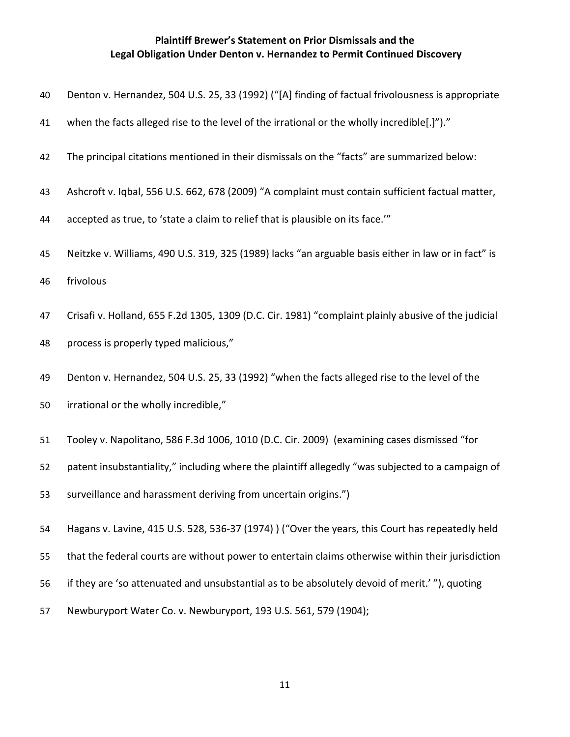- Denton v. Hernandez, 504 U.S. 25, 33 (1992) ("[A] finding of factual frivolousness is appropriate
- 41 when the facts alleged rise to the level of the irrational or the wholly incredible[.]")."
- The principal citations mentioned in their dismissals on the "facts" are summarized below:
- Ashcroft v. Iqbal, 556 U.S. 662, 678 (2009) "A complaint must contain sufficient factual matter,
- accepted as true, to 'state a claim to relief that is plausible on its face.'"
- Neitzke v. Williams, 490 U.S. 319, 325 (1989) lacks "an arguable basis either in law or in fact" is
- frivolous
- Crisafi v. Holland, 655 F.2d 1305, 1309 (D.C. Cir. 1981) "complaint plainly abusive of the judicial
- process is properly typed malicious,"
- Denton v. Hernandez, 504 U.S. 25, 33 (1992) "when the facts alleged rise to the level of the
- irrational or the wholly incredible,"
- Tooley v. Napolitano, 586 F.3d 1006, 1010 (D.C. Cir. 2009) (examining cases dismissed "for
- patent insubstantiality," including where the plaintiff allegedly "was subjected to a campaign of
- surveillance and harassment deriving from uncertain origins.")
- Hagans v. Lavine, 415 U.S. 528, 536-37 (1974) ) ("Over the years, this Court has repeatedly held
- that the federal courts are without power to entertain claims otherwise within their jurisdiction
- if they are 'so attenuated and unsubstantial as to be absolutely devoid of merit.' "), quoting
- Newburyport Water Co. v. Newburyport, 193 U.S. 561, 579 (1904);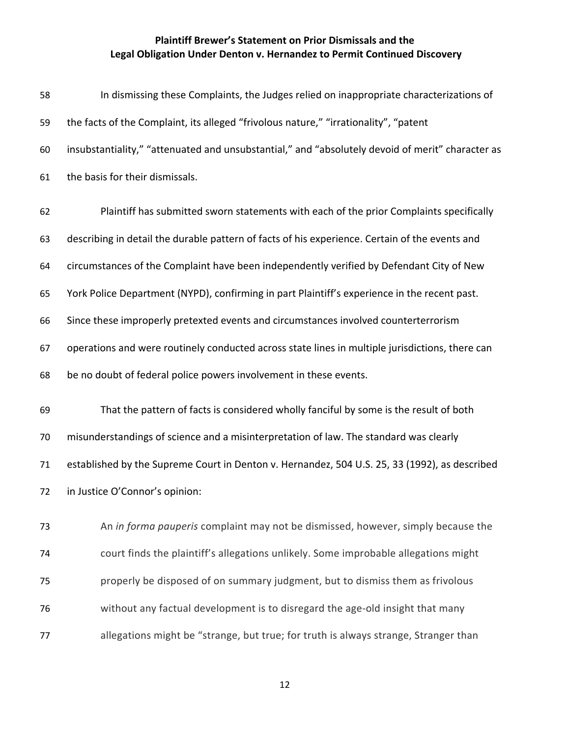| 58 | In dismissing these Complaints, the Judges relied on inappropriate characterizations of          |
|----|--------------------------------------------------------------------------------------------------|
| 59 | the facts of the Complaint, its alleged "frivolous nature," "irrationality", "patent             |
| 60 | insubstantiality," "attenuated and unsubstantial," and "absolutely devoid of merit" character as |
| 61 | the basis for their dismissals.                                                                  |
| 62 | Plaintiff has submitted sworn statements with each of the prior Complaints specifically          |
| 63 | describing in detail the durable pattern of facts of his experience. Certain of the events and   |
| 64 | circumstances of the Complaint have been independently verified by Defendant City of New         |
| 65 | York Police Department (NYPD), confirming in part Plaintiff's experience in the recent past.     |
| 66 | Since these improperly pretexted events and circumstances involved counterterrorism              |
| 67 | operations and were routinely conducted across state lines in multiple jurisdictions, there can  |
| 68 | be no doubt of federal police powers involvement in these events.                                |
| 69 | That the pattern of facts is considered wholly fanciful by some is the result of both            |
| 70 | misunderstandings of science and a misinterpretation of law. The standard was clearly            |
| 71 | established by the Supreme Court in Denton v. Hernandez, 504 U.S. 25, 33 (1992), as described    |
| 72 | in Justice O'Connor's opinion:                                                                   |
| 73 | An in forma pauperis complaint may not be dismissed, however, simply because the                 |
| 74 | court finds the plaintiff's allegations unlikely. Some improbable allegations might              |
| 75 | properly be disposed of on summary judgment, but to dismiss them as frivolous                    |
| 76 | without any factual development is to disregard the age-old insight that many                    |
| 77 | allegations might be "strange, but true; for truth is always strange, Stranger than              |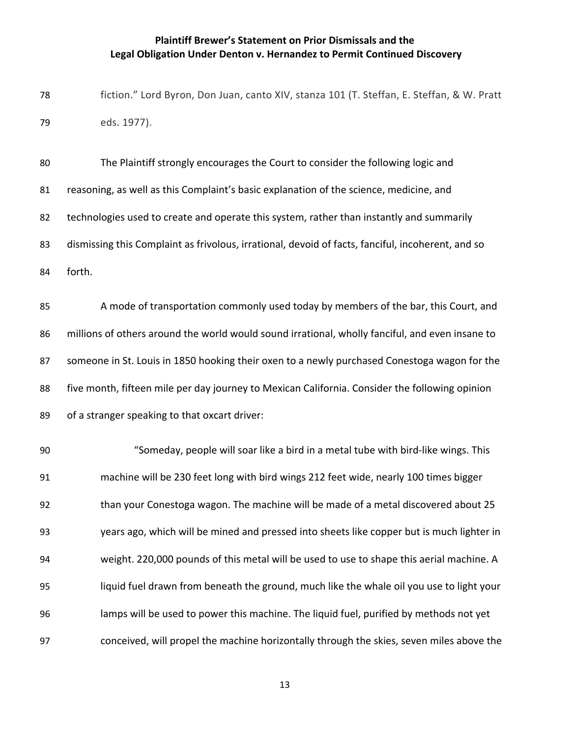fiction." Lord Byron, Don Juan, canto XIV, stanza 101 (T. Steffan, E. Steffan, & W. Pratt eds. 1977).

 The Plaintiff strongly encourages the Court to consider the following logic and reasoning, as well as this Complaint's basic explanation of the science, medicine, and 82 technologies used to create and operate this system, rather than instantly and summarily 83 dismissing this Complaint as frivolous, irrational, devoid of facts, fanciful, incoherent, and so forth.

 A mode of transportation commonly used today by members of the bar, this Court, and millions of others around the world would sound irrational, wholly fanciful, and even insane to someone in St. Louis in 1850 hooking their oxen to a newly purchased Conestoga wagon for the five month, fifteen mile per day journey to Mexican California. Consider the following opinion of a stranger speaking to that oxcart driver:

 "Someday, people will soar like a bird in a metal tube with bird-like wings. This machine will be 230 feet long with bird wings 212 feet wide, nearly 100 times bigger than your Conestoga wagon. The machine will be made of a metal discovered about 25 years ago, which will be mined and pressed into sheets like copper but is much lighter in weight. 220,000 pounds of this metal will be used to use to shape this aerial machine. A liquid fuel drawn from beneath the ground, much like the whale oil you use to light your lamps will be used to power this machine. The liquid fuel, purified by methods not yet conceived, will propel the machine horizontally through the skies, seven miles above the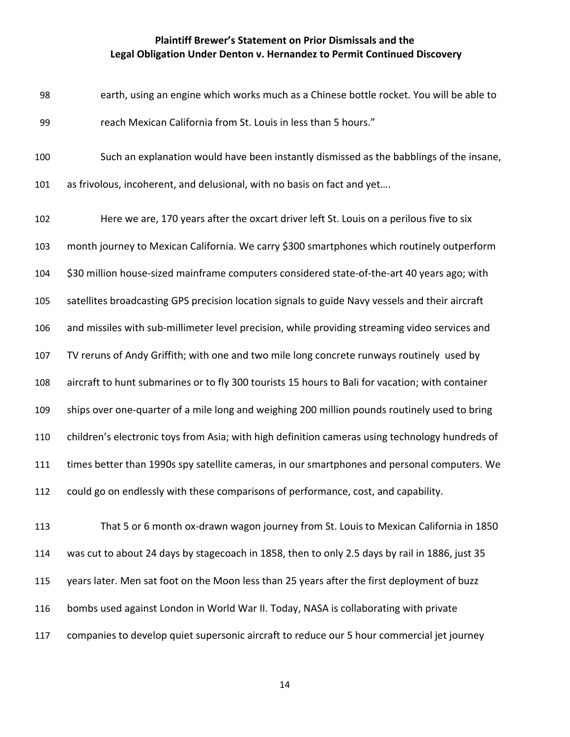- earth, using an engine which works much as a Chinese bottle rocket. You will be able to reach Mexican California from St. Louis in less than 5 hours."
- Such an explanation would have been instantly dismissed as the babblings of the insane,

as frivolous, incoherent, and delusional, with no basis on fact and yet….

 Here we are, 170 years after the oxcart driver left St. Louis on a perilous five to six month journey to Mexican California. We carry \$300 smartphones which routinely outperform \$30 million house-sized mainframe computers considered state-of-the-art 40 years ago; with satellites broadcasting GPS precision location signals to guide Navy vessels and their aircraft and missiles with sub-millimeter level precision, while providing streaming video services and TV reruns of Andy Griffith; with one and two mile long concrete runways routinely used by aircraft to hunt submarines or to fly 300 tourists 15 hours to Bali for vacation; with container ships over one-quarter of a mile long and weighing 200 million pounds routinely used to bring children's electronic toys from Asia; with high definition cameras using technology hundreds of times better than 1990s spy satellite cameras, in our smartphones and personal computers. We could go on endlessly with these comparisons of performance, cost, and capability.

 That 5 or 6 month ox-drawn wagon journey from St. Louis to Mexican California in 1850 was cut to about 24 days by stagecoach in 1858, then to only 2.5 days by rail in 1886, just 35 years later. Men sat foot on the Moon less than 25 years after the first deployment of buzz bombs used against London in World War II. Today, NASA is collaborating with private companies to develop quiet supersonic aircraft to reduce our 5 hour commercial jet journey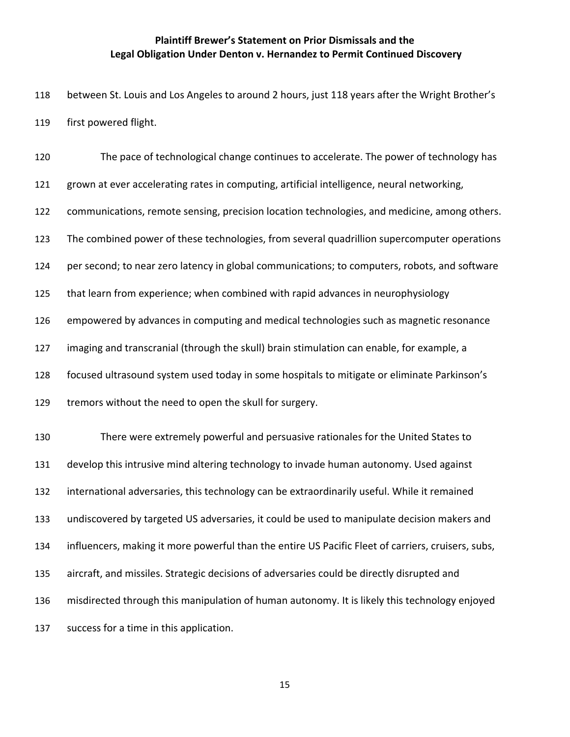between St. Louis and Los Angeles to around 2 hours, just 118 years after the Wright Brother's first powered flight.

 The pace of technological change continues to accelerate. The power of technology has 121 grown at ever accelerating rates in computing, artificial intelligence, neural networking, communications, remote sensing, precision location technologies, and medicine, among others. The combined power of these technologies, from several quadrillion supercomputer operations per second; to near zero latency in global communications; to computers, robots, and software that learn from experience; when combined with rapid advances in neurophysiology empowered by advances in computing and medical technologies such as magnetic resonance imaging and transcranial (through the skull) brain stimulation can enable, for example, a focused ultrasound system used today in some hospitals to mitigate or eliminate Parkinson's tremors without the need to open the skull for surgery. There were extremely powerful and persuasive rationales for the United States to develop this intrusive mind altering technology to invade human autonomy. Used against international adversaries, this technology can be extraordinarily useful. While it remained undiscovered by targeted US adversaries, it could be used to manipulate decision makers and influencers, making it more powerful than the entire US Pacific Fleet of carriers, cruisers, subs, aircraft, and missiles. Strategic decisions of adversaries could be directly disrupted and misdirected through this manipulation of human autonomy. It is likely this technology enjoyed success for a time in this application.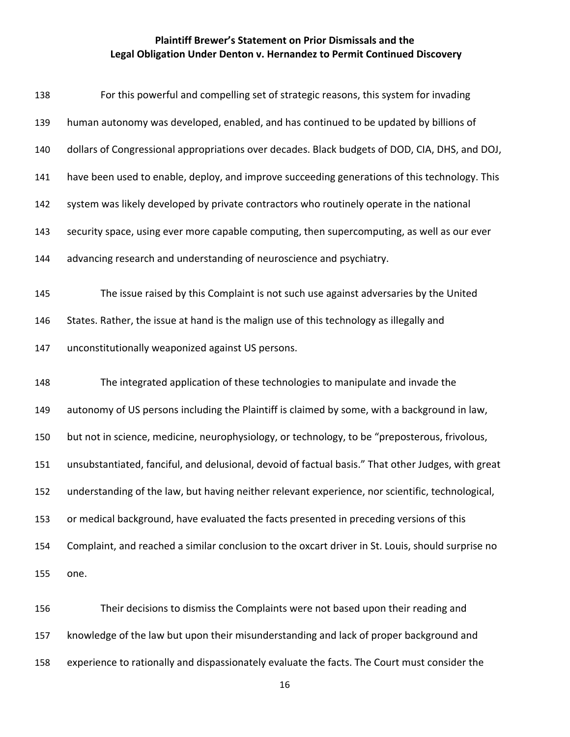| 138 | For this powerful and compelling set of strategic reasons, this system for invading                |
|-----|----------------------------------------------------------------------------------------------------|
| 139 | human autonomy was developed, enabled, and has continued to be updated by billions of              |
| 140 | dollars of Congressional appropriations over decades. Black budgets of DOD, CIA, DHS, and DOJ,     |
| 141 | have been used to enable, deploy, and improve succeeding generations of this technology. This      |
| 142 | system was likely developed by private contractors who routinely operate in the national           |
| 143 | security space, using ever more capable computing, then supercomputing, as well as our ever        |
| 144 | advancing research and understanding of neuroscience and psychiatry.                               |
| 145 | The issue raised by this Complaint is not such use against adversaries by the United               |
| 146 | States. Rather, the issue at hand is the malign use of this technology as illegally and            |
| 147 | unconstitutionally weaponized against US persons.                                                  |
| 148 | The integrated application of these technologies to manipulate and invade the                      |
| 149 | autonomy of US persons including the Plaintiff is claimed by some, with a background in law,       |
| 150 | but not in science, medicine, neurophysiology, or technology, to be "preposterous, frivolous,      |
| 151 | unsubstantiated, fanciful, and delusional, devoid of factual basis." That other Judges, with great |
| 152 | understanding of the law, but having neither relevant experience, nor scientific, technological,   |
| 153 | or medical background, have evaluated the facts presented in preceding versions of this            |
| 154 | Complaint, and reached a similar conclusion to the oxcart driver in St. Louis, should surprise no  |
| 155 | one.                                                                                               |
| 156 | Their decisions to dismiss the Complaints were not based upon their reading and                    |
| 157 | knowledge of the law but upon their misunderstanding and lack of proper background and             |
| 158 | experience to rationally and dispassionately evaluate the facts. The Court must consider the       |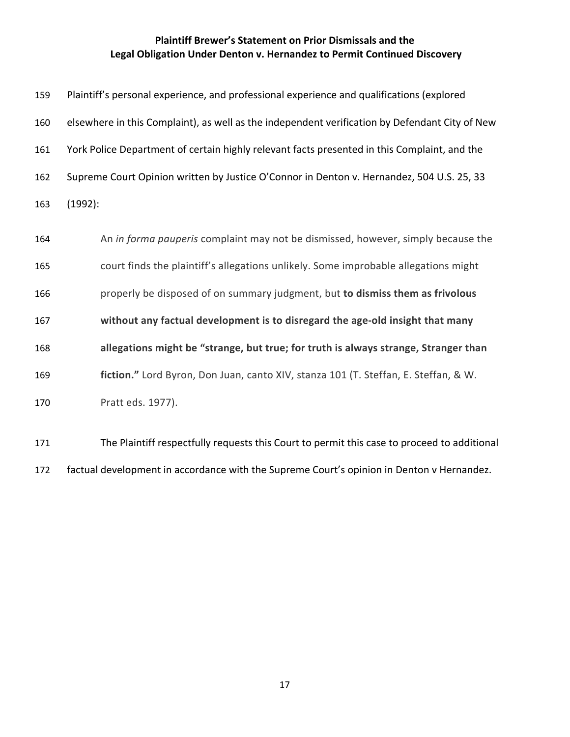| 159 | Plaintiff's personal experience, and professional experience and qualifications (explored      |
|-----|------------------------------------------------------------------------------------------------|
| 160 | elsewhere in this Complaint), as well as the independent verification by Defendant City of New |
| 161 | York Police Department of certain highly relevant facts presented in this Complaint, and the   |
| 162 | Supreme Court Opinion written by Justice O'Connor in Denton v. Hernandez, 504 U.S. 25, 33      |
| 163 | (1992):                                                                                        |
| 164 | An in forma pauperis complaint may not be dismissed, however, simply because the               |
| 165 | court finds the plaintiff's allegations unlikely. Some improbable allegations might            |
| 166 | properly be disposed of on summary judgment, but to dismiss them as frivolous                  |
| 167 | without any factual development is to disregard the age-old insight that many                  |
| 168 | allegations might be "strange, but true; for truth is always strange, Stranger than            |
| 169 | fiction." Lord Byron, Don Juan, canto XIV, stanza 101 (T. Steffan, E. Steffan, & W.            |
| 170 | Pratt eds. 1977).                                                                              |
| 171 | The Plaintiff respectfully requests this Court to permit this case to proceed to additional    |

factual development in accordance with the Supreme Court's opinion in Denton v Hernandez.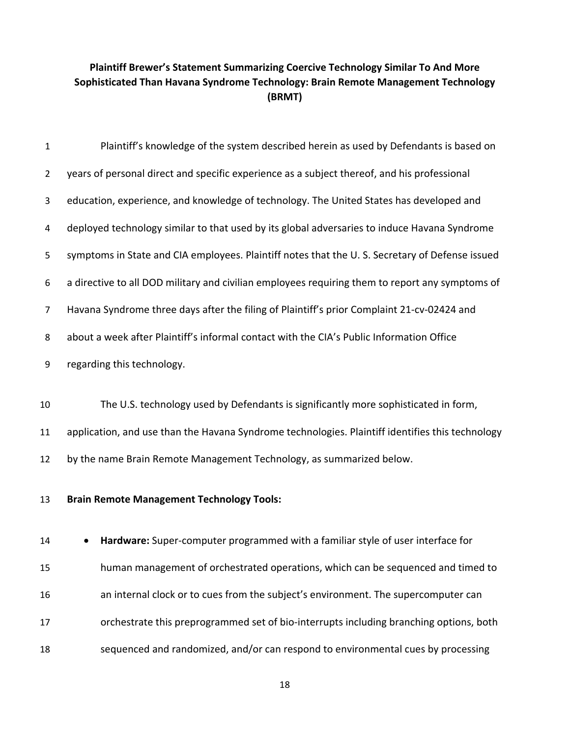| $\mathbf 1$    | Plaintiff's knowledge of the system described herein as used by Defendants is based on           |
|----------------|--------------------------------------------------------------------------------------------------|
| $\overline{2}$ | years of personal direct and specific experience as a subject thereof, and his professional      |
| 3              | education, experience, and knowledge of technology. The United States has developed and          |
| 4              | deployed technology similar to that used by its global adversaries to induce Havana Syndrome     |
| 5              | symptoms in State and CIA employees. Plaintiff notes that the U.S. Secretary of Defense issued   |
| 6              | a directive to all DOD military and civilian employees requiring them to report any symptoms of  |
| $\overline{7}$ | Havana Syndrome three days after the filing of Plaintiff's prior Complaint 21-cv-02424 and       |
| 8              | about a week after Plaintiff's informal contact with the CIA's Public Information Office         |
| 9              | regarding this technology.                                                                       |
|                |                                                                                                  |
| 10             | The U.S. technology used by Defendants is significantly more sophisticated in form,              |
| 11             | application, and use than the Havana Syndrome technologies. Plaintiff identifies this technology |
| 12             | by the name Brain Remote Management Technology, as summarized below.                             |
| 13             | <b>Brain Remote Management Technology Tools:</b>                                                 |
| 14             | Hardware: Super-computer programmed with a familiar style of user interface for<br>$\bullet$     |
| 15             | human management of orchestrated operations, which can be sequenced and timed to                 |
| 16             | an internal clock or to cues from the subject's environment. The supercomputer can               |
| 17             | orchestrate this preprogrammed set of bio-interrupts including branching options, both           |
| 18             | sequenced and randomized, and/or can respond to environmental cues by processing                 |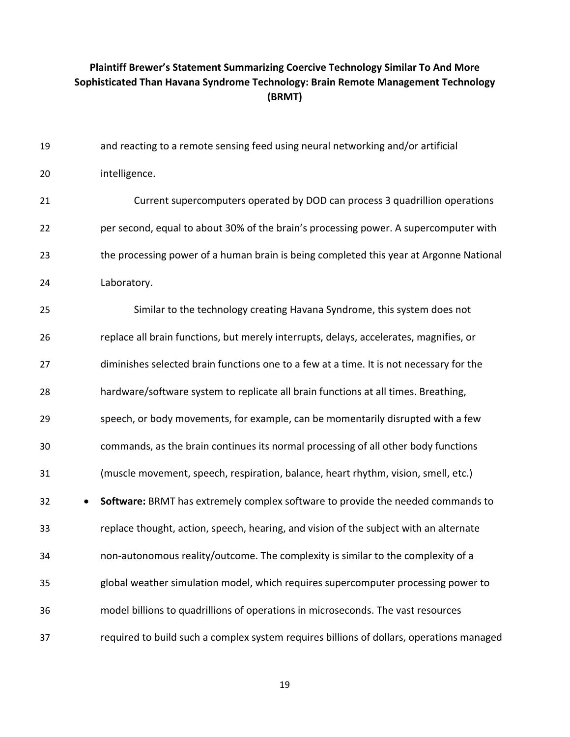| 19 | and reacting to a remote sensing feed using neural networking and/or artificial          |
|----|------------------------------------------------------------------------------------------|
| 20 | intelligence.                                                                            |
| 21 | Current supercomputers operated by DOD can process 3 quadrillion operations              |
| 22 | per second, equal to about 30% of the brain's processing power. A supercomputer with     |
| 23 | the processing power of a human brain is being completed this year at Argonne National   |
| 24 | Laboratory.                                                                              |
| 25 | Similar to the technology creating Havana Syndrome, this system does not                 |
| 26 | replace all brain functions, but merely interrupts, delays, accelerates, magnifies, or   |
| 27 | diminishes selected brain functions one to a few at a time. It is not necessary for the  |
| 28 | hardware/software system to replicate all brain functions at all times. Breathing,       |
| 29 | speech, or body movements, for example, can be momentarily disrupted with a few          |
| 30 | commands, as the brain continues its normal processing of all other body functions       |
| 31 | (muscle movement, speech, respiration, balance, heart rhythm, vision, smell, etc.)       |
| 32 | Software: BRMT has extremely complex software to provide the needed commands to          |
| 33 | replace thought, action, speech, hearing, and vision of the subject with an alternate    |
| 34 | non-autonomous reality/outcome. The complexity is similar to the complexity of a         |
| 35 | global weather simulation model, which requires supercomputer processing power to        |
| 36 | model billions to quadrillions of operations in microseconds. The vast resources         |
| 37 | required to build such a complex system requires billions of dollars, operations managed |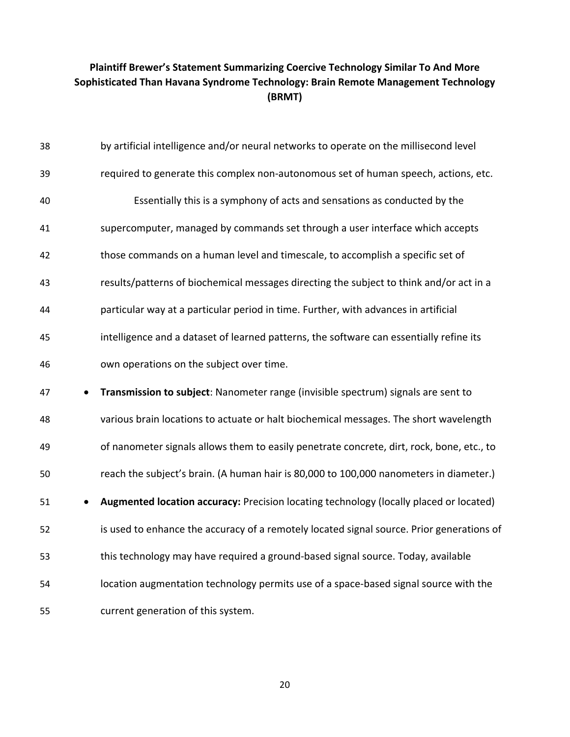| 38 | by artificial intelligence and/or neural networks to operate on the millisecond level     |
|----|-------------------------------------------------------------------------------------------|
| 39 | required to generate this complex non-autonomous set of human speech, actions, etc.       |
| 40 | Essentially this is a symphony of acts and sensations as conducted by the                 |
| 41 | supercomputer, managed by commands set through a user interface which accepts             |
| 42 | those commands on a human level and timescale, to accomplish a specific set of            |
| 43 | results/patterns of biochemical messages directing the subject to think and/or act in a   |
| 44 | particular way at a particular period in time. Further, with advances in artificial       |
| 45 | intelligence and a dataset of learned patterns, the software can essentially refine its   |
| 46 | own operations on the subject over time.                                                  |
| 47 | Transmission to subject: Nanometer range (invisible spectrum) signals are sent to         |
| 48 | various brain locations to actuate or halt biochemical messages. The short wavelength     |
| 49 | of nanometer signals allows them to easily penetrate concrete, dirt, rock, bone, etc., to |
| 50 | reach the subject's brain. (A human hair is 80,000 to 100,000 nanometers in diameter.)    |
| 51 | Augmented location accuracy: Precision locating technology (locally placed or located)    |
| 52 | is used to enhance the accuracy of a remotely located signal source. Prior generations of |
| 53 | this technology may have required a ground-based signal source. Today, available          |
| 54 | location augmentation technology permits use of a space-based signal source with the      |
|    |                                                                                           |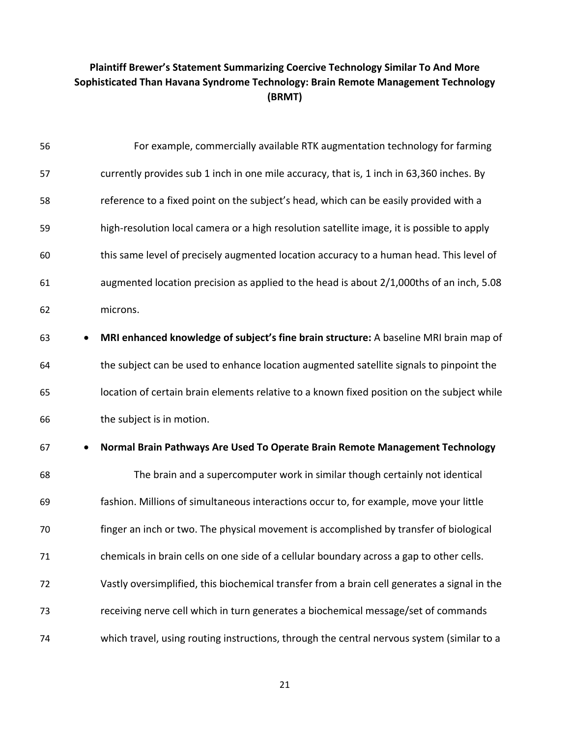| 56              | For example, commercially available RTK augmentation technology for farming                  |
|-----------------|----------------------------------------------------------------------------------------------|
| 57              | currently provides sub 1 inch in one mile accuracy, that is, 1 inch in 63,360 inches. By     |
| 58              | reference to a fixed point on the subject's head, which can be easily provided with a        |
| 59              | high-resolution local camera or a high resolution satellite image, it is possible to apply   |
| 60              | this same level of precisely augmented location accuracy to a human head. This level of      |
| 61              | augmented location precision as applied to the head is about 2/1,000ths of an inch, 5.08     |
| 62              | microns.                                                                                     |
| 63              | MRI enhanced knowledge of subject's fine brain structure: A baseline MRI brain map of        |
| 64              | the subject can be used to enhance location augmented satellite signals to pinpoint the      |
| 65              | location of certain brain elements relative to a known fixed position on the subject while   |
| 66              | the subject is in motion.                                                                    |
| 67<br>$\bullet$ | Normal Brain Pathways Are Used To Operate Brain Remote Management Technology                 |
| 68              | The brain and a supercomputer work in similar though certainly not identical                 |
| 69              | fashion. Millions of simultaneous interactions occur to, for example, move your little       |
| 70              | finger an inch or two. The physical movement is accomplished by transfer of biological       |
| 71              | chemicals in brain cells on one side of a cellular boundary across a gap to other cells.     |
| 72              | Vastly oversimplified, this biochemical transfer from a brain cell generates a signal in the |
| 73              | receiving nerve cell which in turn generates a biochemical message/set of commands           |
| 74              | which travel, using routing instructions, through the central nervous system (similar to a   |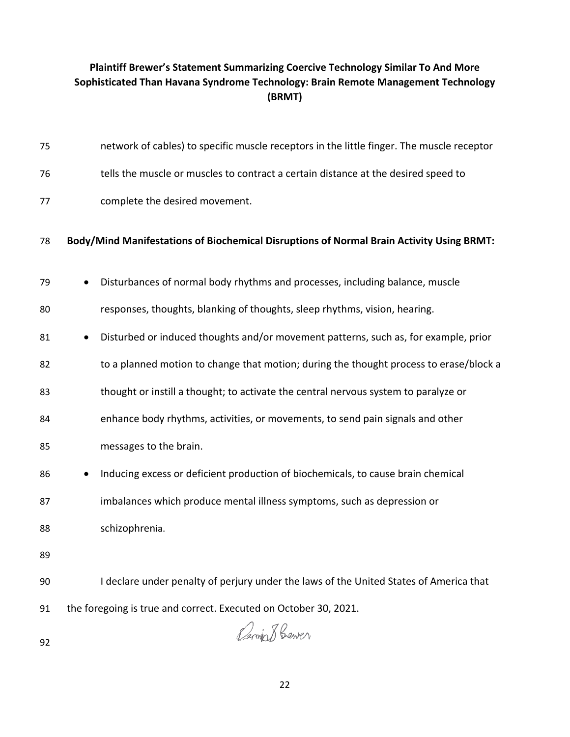| 75 | network of cables) to specific muscle receptors in the little finger. The muscle receptor |
|----|-------------------------------------------------------------------------------------------|
| 76 | tells the muscle or muscles to contract a certain distance at the desired speed to        |
| 77 | complete the desired movement.                                                            |
| 78 | Body/Mind Manifestations of Biochemical Disruptions of Normal Brain Activity Using BRMT:  |
| 79 | Disturbances of normal body rhythms and processes, including balance, muscle              |
| 80 | responses, thoughts, blanking of thoughts, sleep rhythms, vision, hearing.                |
| 81 | Disturbed or induced thoughts and/or movement patterns, such as, for example, prior       |
| 82 | to a planned motion to change that motion; during the thought process to erase/block a    |
| 83 | thought or instill a thought; to activate the central nervous system to paralyze or       |
| 84 | enhance body rhythms, activities, or movements, to send pain signals and other            |
| 85 | messages to the brain.                                                                    |
| 86 | Inducing excess or deficient production of biochemicals, to cause brain chemical          |
| 87 | imbalances which produce mental illness symptoms, such as depression or                   |
| 88 | schizophrenia.                                                                            |
| 89 |                                                                                           |
| 90 | I declare under penalty of perjury under the laws of the United States of America that    |
| 91 | the foregoing is true and correct. Executed on October 30, 2021.                          |
| 92 | Bening Bewer                                                                              |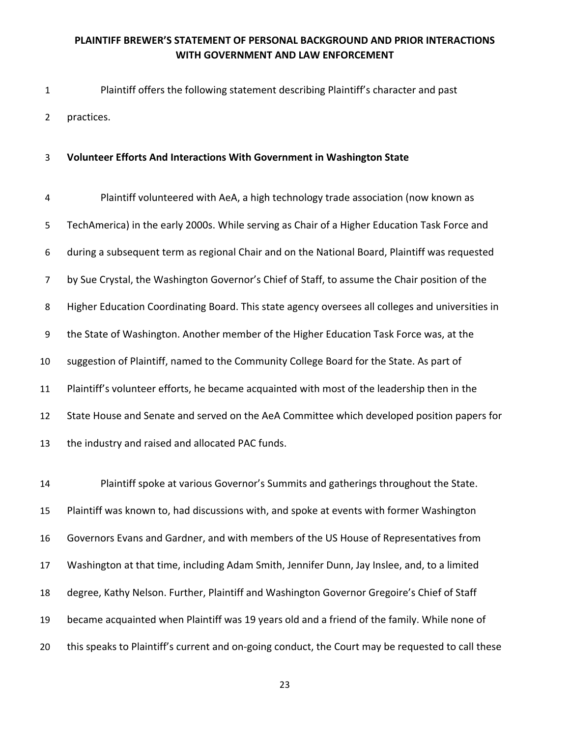1 Plaintiff offers the following statement describing Plaintiff's character and past 2 practices.

#### 3 **Volunteer Efforts And Interactions With Government in Washington State**

4 Plaintiff volunteered with AeA, a high technology trade association (now known as 5 TechAmerica) in the early 2000s. While serving as Chair of a Higher Education Task Force and 6 during a subsequent term as regional Chair and on the National Board, Plaintiff was requested 7 by Sue Crystal, the Washington Governor's Chief of Staff, to assume the Chair position of the 8 Higher Education Coordinating Board. This state agency oversees all colleges and universities in 9 the State of Washington. Another member of the Higher Education Task Force was, at the 10 suggestion of Plaintiff, named to the Community College Board for the State. As part of 11 Plaintiff's volunteer efforts, he became acquainted with most of the leadership then in the 12 State House and Senate and served on the AeA Committee which developed position papers for 13 the industry and raised and allocated PAC funds.

 Plaintiff spoke at various Governor's Summits and gatherings throughout the State. Plaintiff was known to, had discussions with, and spoke at events with former Washington Governors Evans and Gardner, and with members of the US House of Representatives from Washington at that time, including Adam Smith, Jennifer Dunn, Jay Inslee, and, to a limited degree, Kathy Nelson. Further, Plaintiff and Washington Governor Gregoire's Chief of Staff became acquainted when Plaintiff was 19 years old and a friend of the family. While none of 20 this speaks to Plaintiff's current and on-going conduct, the Court may be requested to call these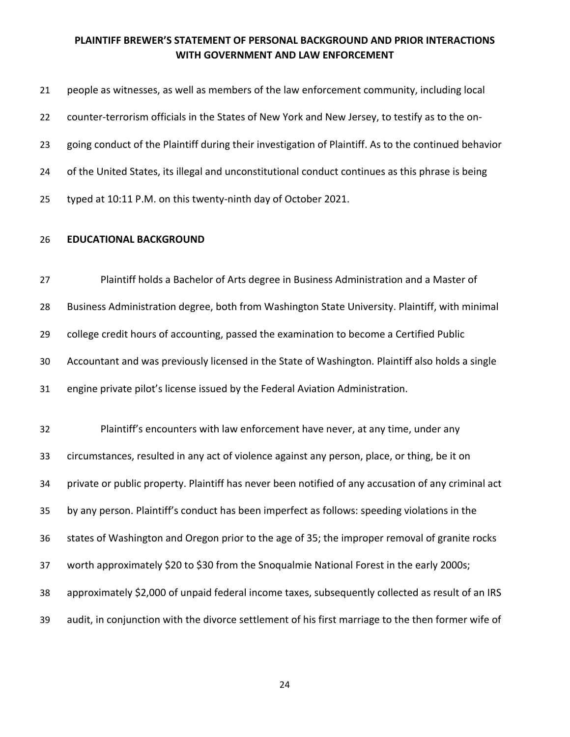| 21 | people as witnesses, as well as members of the law enforcement community, including local            |
|----|------------------------------------------------------------------------------------------------------|
| 22 | counter-terrorism officials in the States of New York and New Jersey, to testify as to the on-       |
| 23 | going conduct of the Plaintiff during their investigation of Plaintiff. As to the continued behavior |
| 24 | of the United States, its illegal and unconstitutional conduct continues as this phrase is being     |
| 25 | typed at 10:11 P.M. on this twenty-ninth day of October 2021.                                        |

#### **EDUCATIONAL BACKGROUND**

 Plaintiff holds a Bachelor of Arts degree in Business Administration and a Master of Business Administration degree, both from Washington State University. Plaintiff, with minimal college credit hours of accounting, passed the examination to become a Certified Public Accountant and was previously licensed in the State of Washington. Plaintiff also holds a single engine private pilot's license issued by the Federal Aviation Administration.

 Plaintiff's encounters with law enforcement have never, at any time, under any circumstances, resulted in any act of violence against any person, place, or thing, be it on private or public property. Plaintiff has never been notified of any accusation of any criminal act by any person. Plaintiff's conduct has been imperfect as follows: speeding violations in the states of Washington and Oregon prior to the age of 35; the improper removal of granite rocks worth approximately \$20 to \$30 from the Snoqualmie National Forest in the early 2000s; approximately \$2,000 of unpaid federal income taxes, subsequently collected as result of an IRS audit, in conjunction with the divorce settlement of his first marriage to the then former wife of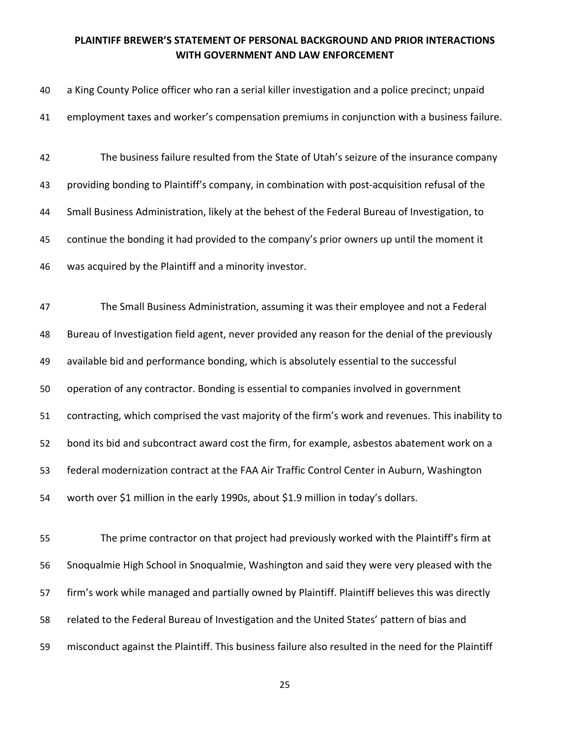| 40 | a King County Police officer who ran a serial killer investigation and a police precinct; unpaid  |
|----|---------------------------------------------------------------------------------------------------|
| 41 | employment taxes and worker's compensation premiums in conjunction with a business failure.       |
| 42 | The business failure resulted from the State of Utah's seizure of the insurance company           |
| 43 | providing bonding to Plaintiff's company, in combination with post-acquisition refusal of the     |
| 44 | Small Business Administration, likely at the behest of the Federal Bureau of Investigation, to    |
| 45 | continue the bonding it had provided to the company's prior owners up until the moment it         |
| 46 | was acquired by the Plaintiff and a minority investor.                                            |
|    |                                                                                                   |
| 47 | The Small Business Administration, assuming it was their employee and not a Federal               |
| 48 | Bureau of Investigation field agent, never provided any reason for the denial of the previously   |
| 49 | available bid and performance bonding, which is absolutely essential to the successful            |
| 50 | operation of any contractor. Bonding is essential to companies involved in government             |
| 51 | contracting, which comprised the vast majority of the firm's work and revenues. This inability to |
| 52 | bond its bid and subcontract award cost the firm, for example, asbestos abatement work on a       |
| 53 | federal modernization contract at the FAA Air Traffic Control Center in Auburn, Washington        |
| 54 | worth over \$1 million in the early 1990s, about \$1.9 million in today's dollars.                |
|    |                                                                                                   |
| 55 | The prime contractor on that project had previously worked with the Plaintiff's firm at           |
| 56 | Snoqualmie High School in Snoqualmie, Washington and said they were very pleased with the         |
| 57 | firm's work while managed and partially owned by Plaintiff. Plaintiff believes this was directly  |

related to the Federal Bureau of Investigation and the United States' pattern of bias and

misconduct against the Plaintiff. This business failure also resulted in the need for the Plaintiff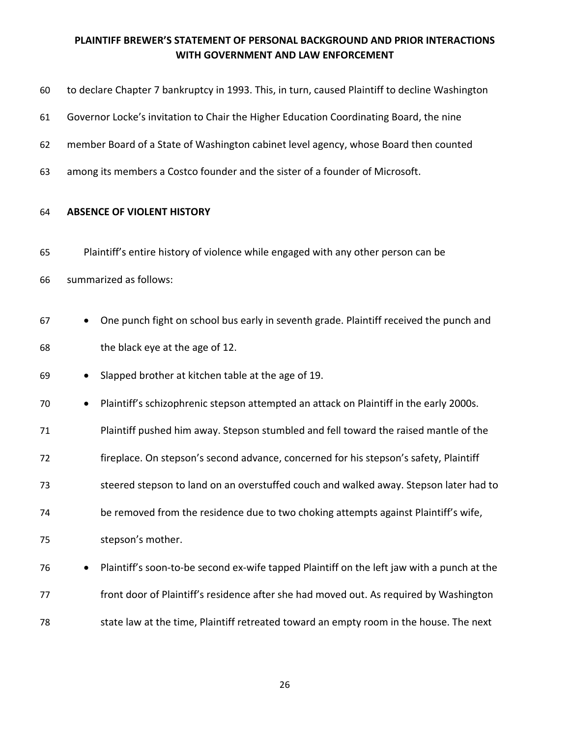| 60 | to declare Chapter 7 bankruptcy in 1993. This, in turn, caused Plaintiff to decline Washington |
|----|------------------------------------------------------------------------------------------------|
| 61 | Governor Locke's invitation to Chair the Higher Education Coordinating Board, the nine         |
| 62 | member Board of a State of Washington cabinet level agency, whose Board then counted           |
| 63 | among its members a Costco founder and the sister of a founder of Microsoft.                   |
| 64 | <b>ABSENCE OF VIOLENT HISTORY</b>                                                              |
| 65 | Plaintiff's entire history of violence while engaged with any other person can be              |
| 66 | summarized as follows:                                                                         |
| 67 | One punch fight on school bus early in seventh grade. Plaintiff received the punch and         |
| 68 | the black eye at the age of 12.                                                                |
| 69 | Slapped brother at kitchen table at the age of 19.                                             |
| 70 | Plaintiff's schizophrenic stepson attempted an attack on Plaintiff in the early 2000s.         |
| 71 | Plaintiff pushed him away. Stepson stumbled and fell toward the raised mantle of the           |
| 72 | fireplace. On stepson's second advance, concerned for his stepson's safety, Plaintiff          |
| 73 | steered stepson to land on an overstuffed couch and walked away. Stepson later had to          |
| 74 | be removed from the residence due to two choking attempts against Plaintiff's wife,            |
| 75 | stepson's mother.                                                                              |
| 76 | Plaintiff's soon-to-be second ex-wife tapped Plaintiff on the left jaw with a punch at the     |
| 77 | front door of Plaintiff's residence after she had moved out. As required by Washington         |
| 78 | state law at the time, Plaintiff retreated toward an empty room in the house. The next         |
|    |                                                                                                |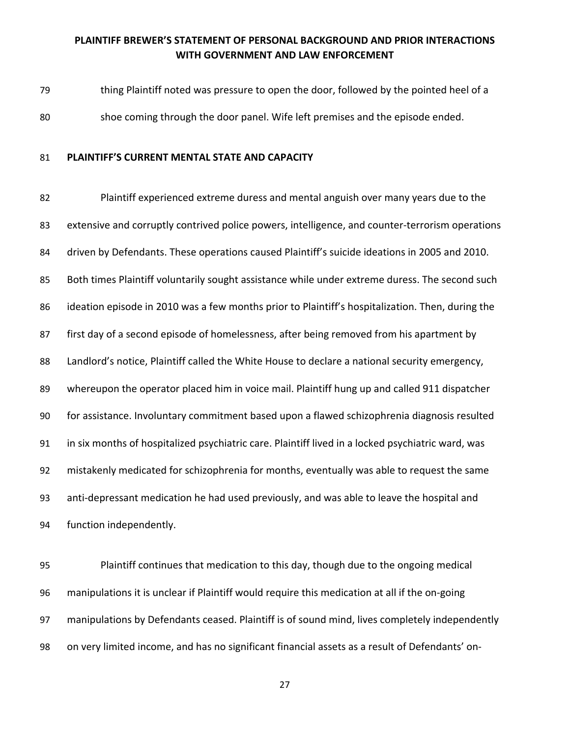thing Plaintiff noted was pressure to open the door, followed by the pointed heel of a shoe coming through the door panel. Wife left premises and the episode ended.

#### **PLAINTIFF'S CURRENT MENTAL STATE AND CAPACITY**

 Plaintiff experienced extreme duress and mental anguish over many years due to the 83 extensive and corruptly contrived police powers, intelligence, and counter-terrorism operations driven by Defendants. These operations caused Plaintiff's suicide ideations in 2005 and 2010. 85 Both times Plaintiff voluntarily sought assistance while under extreme duress. The second such 86 ideation episode in 2010 was a few months prior to Plaintiff's hospitalization. Then, during the first day of a second episode of homelessness, after being removed from his apartment by 88 Landlord's notice, Plaintiff called the White House to declare a national security emergency, whereupon the operator placed him in voice mail. Plaintiff hung up and called 911 dispatcher for assistance. Involuntary commitment based upon a flawed schizophrenia diagnosis resulted in six months of hospitalized psychiatric care. Plaintiff lived in a locked psychiatric ward, was mistakenly medicated for schizophrenia for months, eventually was able to request the same anti-depressant medication he had used previously, and was able to leave the hospital and function independently.

 Plaintiff continues that medication to this day, though due to the ongoing medical manipulations it is unclear if Plaintiff would require this medication at all if the on-going manipulations by Defendants ceased. Plaintiff is of sound mind, lives completely independently on very limited income, and has no significant financial assets as a result of Defendants' on-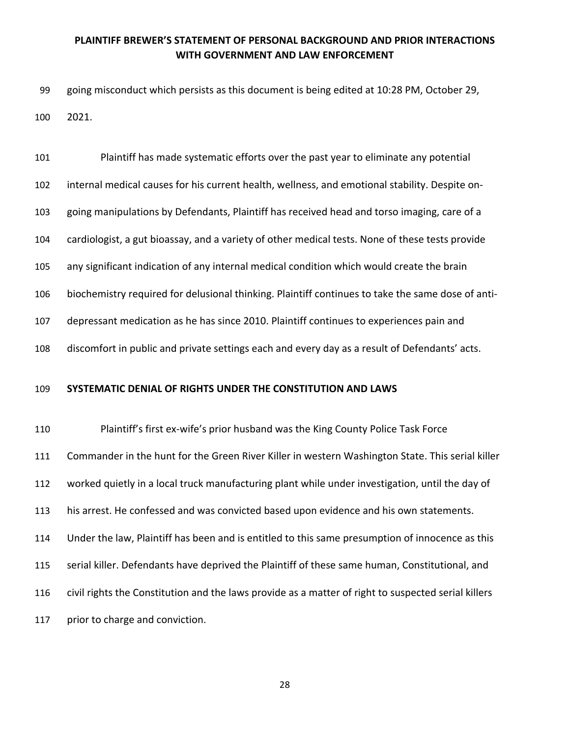going misconduct which persists as this document is being edited at 10:28 PM, October 29, 2021.

 Plaintiff has made systematic efforts over the past year to eliminate any potential internal medical causes for his current health, wellness, and emotional stability. Despite on- going manipulations by Defendants, Plaintiff has received head and torso imaging, care of a cardiologist, a gut bioassay, and a variety of other medical tests. None of these tests provide any significant indication of any internal medical condition which would create the brain biochemistry required for delusional thinking. Plaintiff continues to take the same dose of anti- depressant medication as he has since 2010. Plaintiff continues to experiences pain and discomfort in public and private settings each and every day as a result of Defendants' acts.

#### **SYSTEMATIC DENIAL OF RIGHTS UNDER THE CONSTITUTION AND LAWS**

 Plaintiff's first ex-wife's prior husband was the King County Police Task Force Commander in the hunt for the Green River Killer in western Washington State. This serial killer worked quietly in a local truck manufacturing plant while under investigation, until the day of his arrest. He confessed and was convicted based upon evidence and his own statements. Under the law, Plaintiff has been and is entitled to this same presumption of innocence as this serial killer. Defendants have deprived the Plaintiff of these same human, Constitutional, and civil rights the Constitution and the laws provide as a matter of right to suspected serial killers 117 prior to charge and conviction.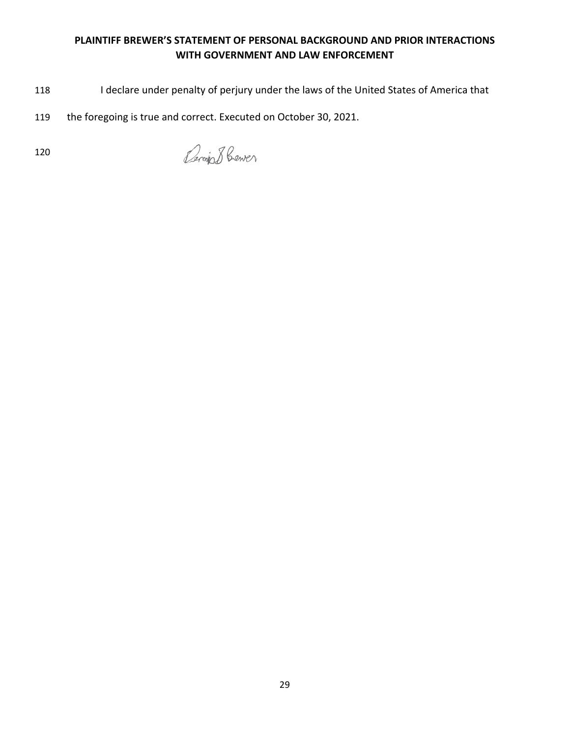- 118 I declare under penalty of perjury under the laws of the United States of America that
- 119 the foregoing is true and correct. Executed on October 30, 2021.

Benja 8 Cener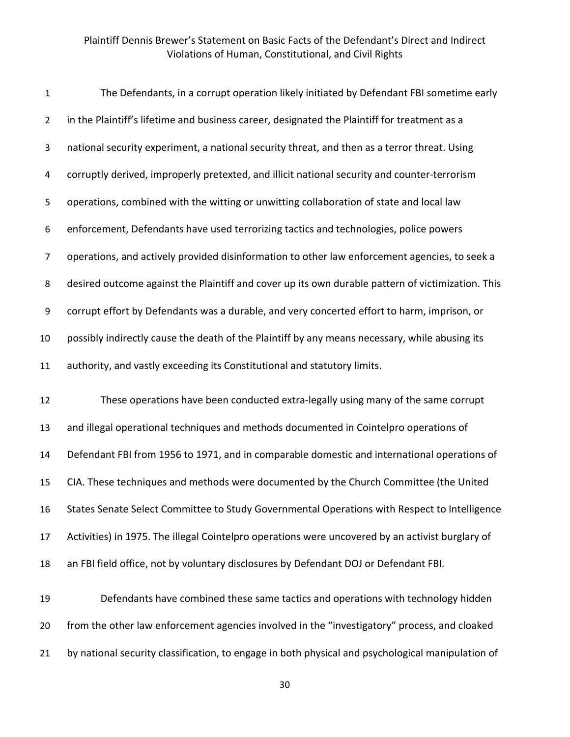| $\mathbf{1}$   | The Defendants, in a corrupt operation likely initiated by Defendant FBI sometime early           |
|----------------|---------------------------------------------------------------------------------------------------|
| $\overline{2}$ | in the Plaintiff's lifetime and business career, designated the Plaintiff for treatment as a      |
| 3              | national security experiment, a national security threat, and then as a terror threat. Using      |
| 4              | corruptly derived, improperly pretexted, and illicit national security and counter-terrorism      |
| 5              | operations, combined with the witting or unwitting collaboration of state and local law           |
| 6              | enforcement, Defendants have used terrorizing tactics and technologies, police powers             |
| 7              | operations, and actively provided disinformation to other law enforcement agencies, to seek a     |
| 8              | desired outcome against the Plaintiff and cover up its own durable pattern of victimization. This |
| 9              | corrupt effort by Defendants was a durable, and very concerted effort to harm, imprison, or       |
| 10             | possibly indirectly cause the death of the Plaintiff by any means necessary, while abusing its    |
| 11             | authority, and vastly exceeding its Constitutional and statutory limits.                          |
| 12             | These operations have been conducted extra-legally using many of the same corrupt                 |
| 13             | and illegal operational techniques and methods documented in Cointelpro operations of             |
| 14             | Defendant FBI from 1956 to 1971, and in comparable domestic and international operations of       |
| 15             | CIA. These techniques and methods were documented by the Church Committee (the United             |
| 16             | States Senate Select Committee to Study Governmental Operations with Respect to Intelligence      |
| 17             | Activities) in 1975. The illegal Cointelpro operations were uncovered by an activist burglary of  |
| 18             | an FBI field office, not by voluntary disclosures by Defendant DOJ or Defendant FBI.              |
|                |                                                                                                   |

19 Defendants have combined these same tactics and operations with technology hidden 20 from the other law enforcement agencies involved in the "investigatory" process, and cloaked 21 by national security classification, to engage in both physical and psychological manipulation of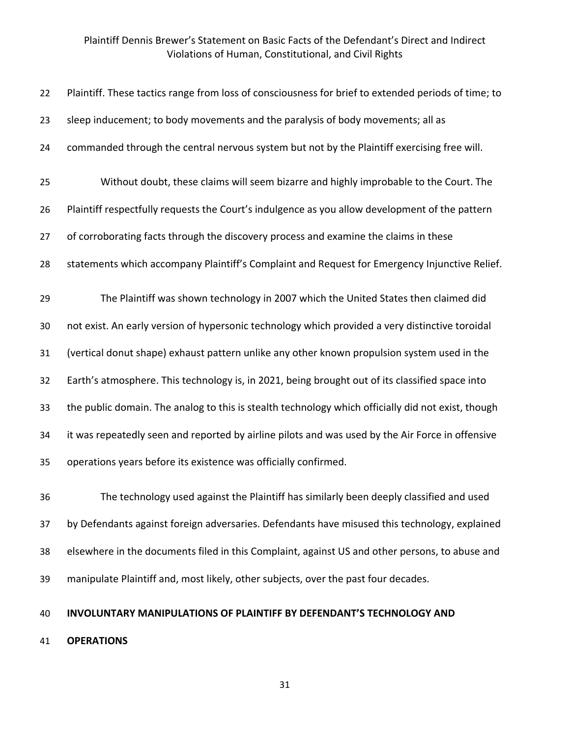| 22 | Plaintiff. These tactics range from loss of consciousness for brief to extended periods of time; to |
|----|-----------------------------------------------------------------------------------------------------|
| 23 | sleep inducement; to body movements and the paralysis of body movements; all as                     |
| 24 | commanded through the central nervous system but not by the Plaintiff exercising free will.         |
| 25 | Without doubt, these claims will seem bizarre and highly improbable to the Court. The               |
| 26 | Plaintiff respectfully requests the Court's indulgence as you allow development of the pattern      |
| 27 | of corroborating facts through the discovery process and examine the claims in these                |
| 28 | statements which accompany Plaintiff's Complaint and Request for Emergency Injunctive Relief.       |
| 29 | The Plaintiff was shown technology in 2007 which the United States then claimed did                 |
| 30 | not exist. An early version of hypersonic technology which provided a very distinctive toroidal     |
| 31 | (vertical donut shape) exhaust pattern unlike any other known propulsion system used in the         |
| 32 | Earth's atmosphere. This technology is, in 2021, being brought out of its classified space into     |
| 33 | the public domain. The analog to this is stealth technology which officially did not exist, though  |
| 34 | it was repeatedly seen and reported by airline pilots and was used by the Air Force in offensive    |
| 35 | operations years before its existence was officially confirmed.                                     |
| 36 | The technology used against the Plaintiff has similarly been deeply classified and used             |

 by Defendants against foreign adversaries. Defendants have misused this technology, explained elsewhere in the documents filed in this Complaint, against US and other persons, to abuse and manipulate Plaintiff and, most likely, other subjects, over the past four decades.

**INVOLUNTARY MANIPULATIONS OF PLAINTIFF BY DEFENDANT'S TECHNOLOGY AND** 

**OPERATIONS**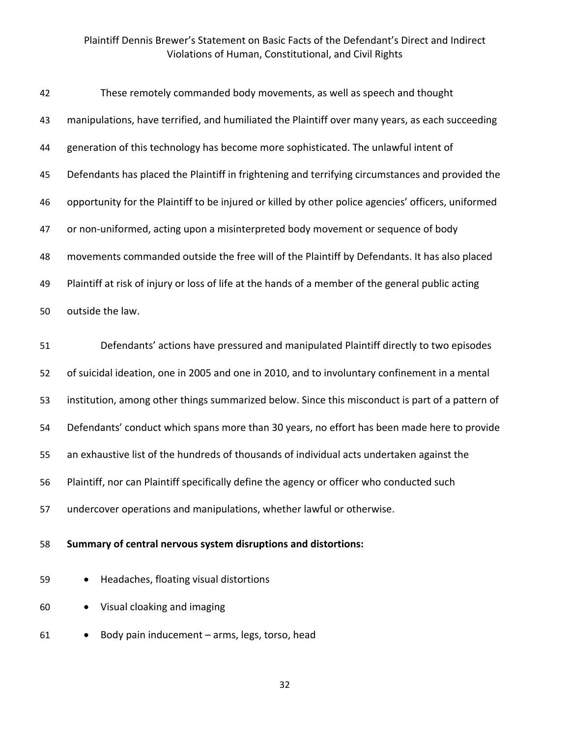| 42 | These remotely commanded body movements, as well as speech and thought                              |
|----|-----------------------------------------------------------------------------------------------------|
| 43 | manipulations, have terrified, and humiliated the Plaintiff over many years, as each succeeding     |
| 44 | generation of this technology has become more sophisticated. The unlawful intent of                 |
| 45 | Defendants has placed the Plaintiff in frightening and terrifying circumstances and provided the    |
| 46 | opportunity for the Plaintiff to be injured or killed by other police agencies' officers, uniformed |
| 47 | or non-uniformed, acting upon a misinterpreted body movement or sequence of body                    |
| 48 | movements commanded outside the free will of the Plaintiff by Defendants. It has also placed        |
| 49 | Plaintiff at risk of injury or loss of life at the hands of a member of the general public acting   |
| 50 | outside the law.                                                                                    |
| 51 | Defendants' actions have pressured and manipulated Plaintiff directly to two episodes               |
| 52 | of suicidal ideation, one in 2005 and one in 2010, and to involuntary confinement in a mental       |
| 53 | institution, among other things summarized below. Since this misconduct is part of a pattern of     |
| 54 | Defendants' conduct which spans more than 30 years, no effort has been made here to provide         |
| 55 | an exhaustive list of the hundreds of thousands of individual acts undertaken against the           |
| 56 | Plaintiff, nor can Plaintiff specifically define the agency or officer who conducted such           |
| 57 | undercover operations and manipulations, whether lawful or otherwise.                               |
| 58 | Summary of central nervous system disruptions and distortions:                                      |
| 59 | Headaches, floating visual distortions                                                              |
| 60 | Visual cloaking and imaging                                                                         |

• Body pain inducement – arms, legs, torso, head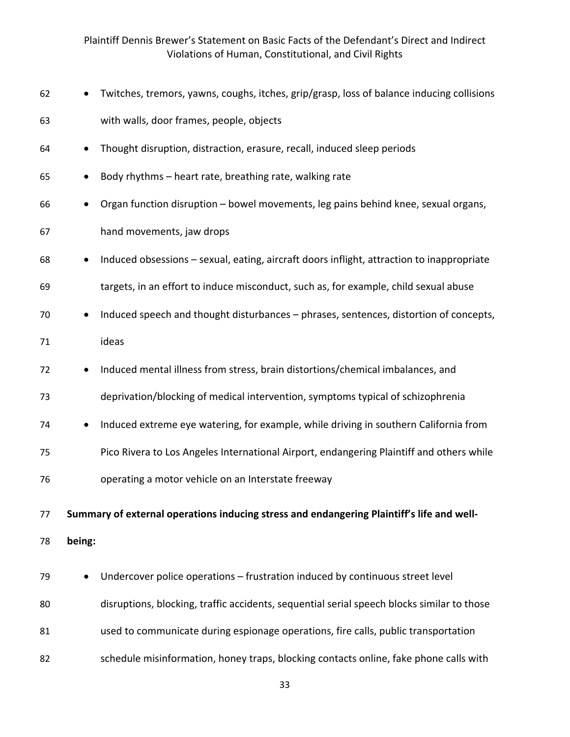|        | Twitches, tremors, yawns, coughs, itches, grip/grasp, loss of balance inducing collisions  |
|--------|--------------------------------------------------------------------------------------------|
|        | with walls, door frames, people, objects                                                   |
|        | Thought disruption, distraction, erasure, recall, induced sleep periods                    |
|        | Body rhythms - heart rate, breathing rate, walking rate                                    |
|        | Organ function disruption - bowel movements, leg pains behind knee, sexual organs,         |
|        | hand movements, jaw drops                                                                  |
|        | Induced obsessions - sexual, eating, aircraft doors inflight, attraction to inappropriate  |
|        | targets, in an effort to induce misconduct, such as, for example, child sexual abuse       |
|        | Induced speech and thought disturbances - phrases, sentences, distortion of concepts,      |
|        | ideas                                                                                      |
|        | Induced mental illness from stress, brain distortions/chemical imbalances, and             |
|        | deprivation/blocking of medical intervention, symptoms typical of schizophrenia            |
|        | Induced extreme eye watering, for example, while driving in southern California from       |
|        | Pico Rivera to Los Angeles International Airport, endangering Plaintiff and others while   |
|        | operating a motor vehicle on an Interstate freeway                                         |
|        | Summary of external operations inducing stress and endangering Plaintiff's life and well-  |
| being: |                                                                                            |
|        | Undercover police operations - frustration induced by continuous street level              |
|        | disruptions, blocking, traffic accidents, sequential serial speech blocks similar to those |
|        | used to communicate during espionage operations, fire calls, public transportation         |
|        | schedule misinformation, honey traps, blocking contacts online, fake phone calls with      |
|        |                                                                                            |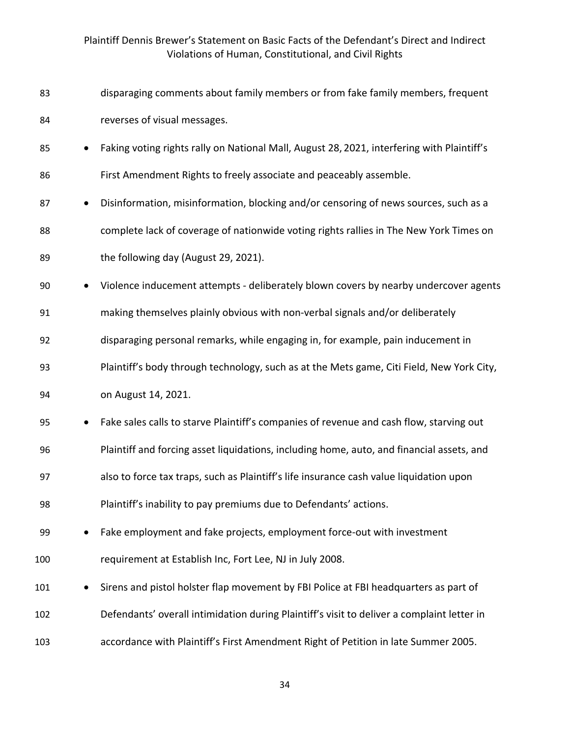| 83  |           | disparaging comments about family members or from fake family members, frequent            |
|-----|-----------|--------------------------------------------------------------------------------------------|
| 84  |           | reverses of visual messages.                                                               |
| 85  | $\bullet$ | Faking voting rights rally on National Mall, August 28, 2021, interfering with Plaintiff's |
| 86  |           | First Amendment Rights to freely associate and peaceably assemble.                         |
| 87  | $\bullet$ | Disinformation, misinformation, blocking and/or censoring of news sources, such as a       |
| 88  |           | complete lack of coverage of nationwide voting rights rallies in The New York Times on     |
| 89  |           | the following day (August 29, 2021).                                                       |
| 90  | $\bullet$ | Violence inducement attempts - deliberately blown covers by nearby undercover agents       |
| 91  |           | making themselves plainly obvious with non-verbal signals and/or deliberately              |
| 92  |           | disparaging personal remarks, while engaging in, for example, pain inducement in           |
| 93  |           | Plaintiff's body through technology, such as at the Mets game, Citi Field, New York City,  |
| 94  |           | on August 14, 2021.                                                                        |
| 95  | $\bullet$ | Fake sales calls to starve Plaintiff's companies of revenue and cash flow, starving out    |
| 96  |           | Plaintiff and forcing asset liquidations, including home, auto, and financial assets, and  |
| 97  |           | also to force tax traps, such as Plaintiff's life insurance cash value liquidation upon    |
| 98  |           | Plaintiff's inability to pay premiums due to Defendants' actions.                          |
| 99  |           | Fake employment and fake projects, employment force-out with investment                    |
| 100 |           | requirement at Establish Inc, Fort Lee, NJ in July 2008.                                   |
| 101 |           | Sirens and pistol holster flap movement by FBI Police at FBI headquarters as part of       |
| 102 |           | Defendants' overall intimidation during Plaintiff's visit to deliver a complaint letter in |
| 103 |           | accordance with Plaintiff's First Amendment Right of Petition in late Summer 2005.         |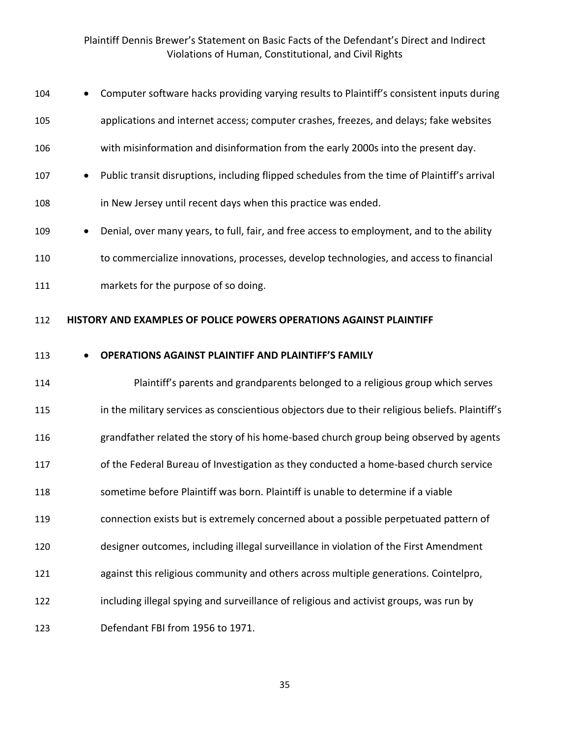| 104 | Computer software hacks providing varying results to Plaintiff's consistent inputs during       |
|-----|-------------------------------------------------------------------------------------------------|
| 105 | applications and internet access; computer crashes, freezes, and delays; fake websites          |
| 106 | with misinformation and disinformation from the early 2000s into the present day.               |
| 107 | Public transit disruptions, including flipped schedules from the time of Plaintiff's arrival    |
| 108 | in New Jersey until recent days when this practice was ended.                                   |
| 109 | Denial, over many years, to full, fair, and free access to employment, and to the ability       |
| 110 | to commercialize innovations, processes, develop technologies, and access to financial          |
| 111 | markets for the purpose of so doing.                                                            |
| 112 | HISTORY AND EXAMPLES OF POLICE POWERS OPERATIONS AGAINST PLAINTIFF                              |
| 113 | <b>OPERATIONS AGAINST PLAINTIFF AND PLAINTIFF'S FAMILY</b>                                      |
| 114 | Plaintiff's parents and grandparents belonged to a religious group which serves                 |
| 115 | in the military services as conscientious objectors due to their religious beliefs. Plaintiff's |
| 116 | grandfather related the story of his home-based church group being observed by agents           |
| 117 | of the Federal Bureau of Investigation as they conducted a home-based church service            |
| 118 | sometime before Plaintiff was born. Plaintiff is unable to determine if a viable                |
| 119 | connection exists but is extremely concerned about a possible perpetuated pattern of            |
| 120 | designer outcomes, including illegal surveillance in violation of the First Amendment           |
| 121 | against this religious community and others across multiple generations. Cointelpro,            |
| 122 | including illegal spying and surveillance of religious and activist groups, was run by          |
| 123 | Defendant FBI from 1956 to 1971.                                                                |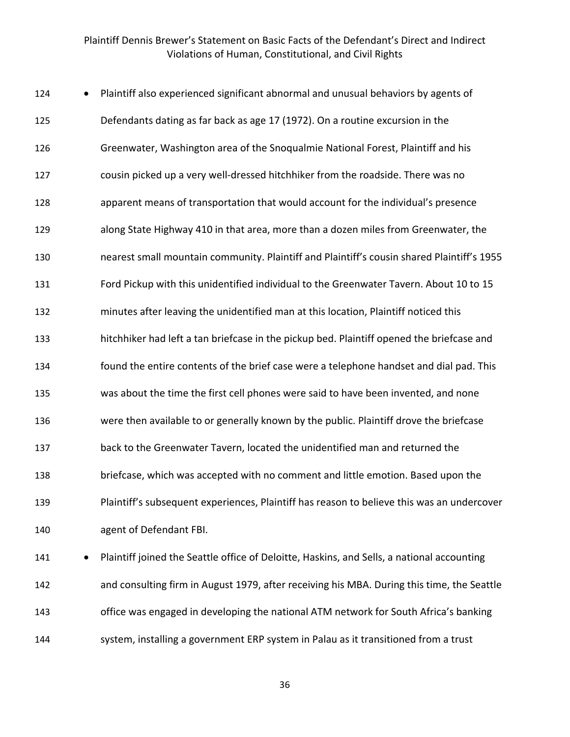| 124 | Plaintiff also experienced significant abnormal and unusual behaviors by agents of         |
|-----|--------------------------------------------------------------------------------------------|
| 125 | Defendants dating as far back as age 17 (1972). On a routine excursion in the              |
| 126 | Greenwater, Washington area of the Snoqualmie National Forest, Plaintiff and his           |
| 127 | cousin picked up a very well-dressed hitchhiker from the roadside. There was no            |
| 128 | apparent means of transportation that would account for the individual's presence          |
| 129 | along State Highway 410 in that area, more than a dozen miles from Greenwater, the         |
| 130 | nearest small mountain community. Plaintiff and Plaintiff's cousin shared Plaintiff's 1955 |
| 131 | Ford Pickup with this unidentified individual to the Greenwater Tavern. About 10 to 15     |
| 132 | minutes after leaving the unidentified man at this location, Plaintiff noticed this        |
| 133 | hitchhiker had left a tan briefcase in the pickup bed. Plaintiff opened the briefcase and  |
| 134 | found the entire contents of the brief case were a telephone handset and dial pad. This    |
| 135 | was about the time the first cell phones were said to have been invented, and none         |
| 136 | were then available to or generally known by the public. Plaintiff drove the briefcase     |
| 137 | back to the Greenwater Tavern, located the unidentified man and returned the               |
| 138 | briefcase, which was accepted with no comment and little emotion. Based upon the           |
| 139 | Plaintiff's subsequent experiences, Plaintiff has reason to believe this was an undercover |
| 140 | agent of Defendant FBI.                                                                    |
| 141 | Plaintiff joined the Seattle office of Deloitte, Haskins, and Sells, a national accounting |
|     |                                                                                            |

 and consulting firm in August 1979, after receiving his MBA. During this time, the Seattle office was engaged in developing the national ATM network for South Africa's banking system, installing a government ERP system in Palau as it transitioned from a trust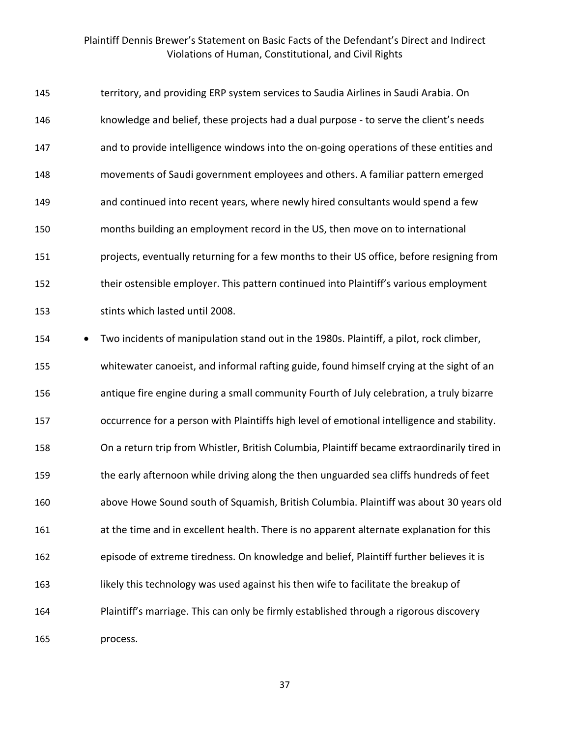| 145 | territory, and providing ERP system services to Saudia Airlines in Saudi Arabia. On         |
|-----|---------------------------------------------------------------------------------------------|
| 146 | knowledge and belief, these projects had a dual purpose - to serve the client's needs       |
| 147 | and to provide intelligence windows into the on-going operations of these entities and      |
| 148 | movements of Saudi government employees and others. A familiar pattern emerged              |
| 149 | and continued into recent years, where newly hired consultants would spend a few            |
| 150 | months building an employment record in the US, then move on to international               |
| 151 | projects, eventually returning for a few months to their US office, before resigning from   |
| 152 | their ostensible employer. This pattern continued into Plaintiff's various employment       |
| 153 | stints which lasted until 2008.                                                             |
| 154 | Two incidents of manipulation stand out in the 1980s. Plaintiff, a pilot, rock climber,     |
| 155 | whitewater canoeist, and informal rafting guide, found himself crying at the sight of an    |
| 156 | antique fire engine during a small community Fourth of July celebration, a truly bizarre    |
| 157 | occurrence for a person with Plaintiffs high level of emotional intelligence and stability. |
| 158 | On a return trip from Whistler, British Columbia, Plaintiff became extraordinarily tired in |
| 159 | the early afternoon while driving along the then unguarded sea cliffs hundreds of feet      |
| 160 | above Howe Sound south of Squamish, British Columbia. Plaintiff was about 30 years old      |
| 161 | at the time and in excellent health. There is no apparent alternate explanation for this    |
| 162 | episode of extreme tiredness. On knowledge and belief, Plaintiff further believes it is     |
| 163 | likely this technology was used against his then wife to facilitate the breakup of          |
| 164 | Plaintiff's marriage. This can only be firmly established through a rigorous discovery      |
| 165 | process.                                                                                    |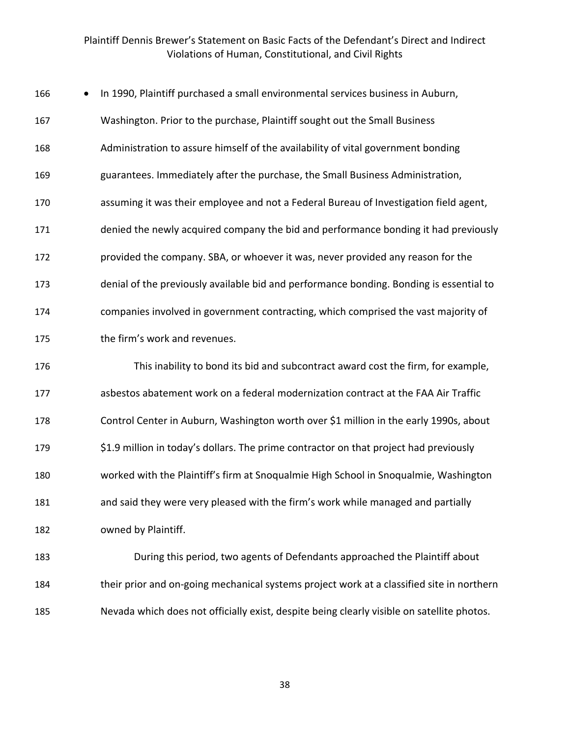| 166<br>$\bullet$ | In 1990, Plaintiff purchased a small environmental services business in Auburn,            |
|------------------|--------------------------------------------------------------------------------------------|
| 167              | Washington. Prior to the purchase, Plaintiff sought out the Small Business                 |
| 168              | Administration to assure himself of the availability of vital government bonding           |
| 169              | guarantees. Immediately after the purchase, the Small Business Administration,             |
| 170              | assuming it was their employee and not a Federal Bureau of Investigation field agent,      |
| 171              | denied the newly acquired company the bid and performance bonding it had previously        |
| 172              | provided the company. SBA, or whoever it was, never provided any reason for the            |
| 173              | denial of the previously available bid and performance bonding. Bonding is essential to    |
| 174              | companies involved in government contracting, which comprised the vast majority of         |
| 175              | the firm's work and revenues.                                                              |
| 176              | This inability to bond its bid and subcontract award cost the firm, for example,           |
| 177              | asbestos abatement work on a federal modernization contract at the FAA Air Traffic         |
| 178              | Control Center in Auburn, Washington worth over \$1 million in the early 1990s, about      |
| 179              | \$1.9 million in today's dollars. The prime contractor on that project had previously      |
| 180              | worked with the Plaintiff's firm at Snoqualmie High School in Snoqualmie, Washington       |
| 181              | and said they were very pleased with the firm's work while managed and partially           |
| 182              | owned by Plaintiff.                                                                        |
| 183              | During this period, two agents of Defendants approached the Plaintiff about                |
| 184              | their prior and on-going mechanical systems project work at a classified site in northern  |
| 185              | Nevada which does not officially exist, despite being clearly visible on satellite photos. |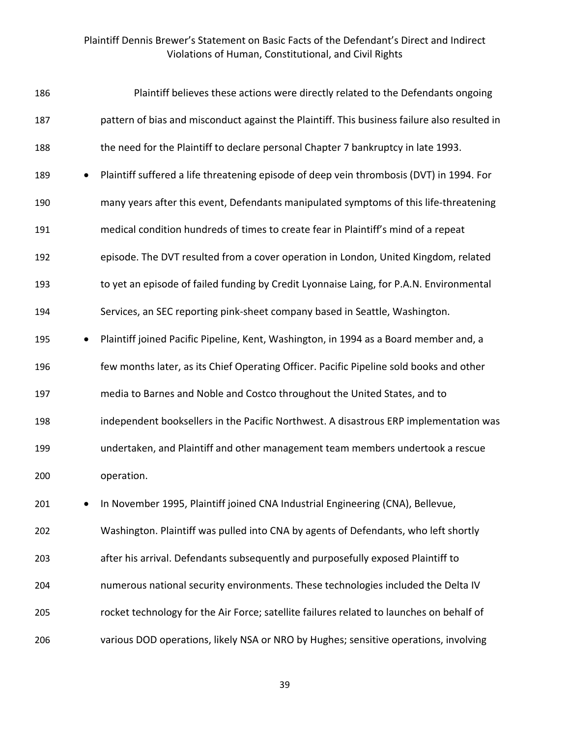| 186 | Plaintiff believes these actions were directly related to the Defendants ongoing             |
|-----|----------------------------------------------------------------------------------------------|
| 187 | pattern of bias and misconduct against the Plaintiff. This business failure also resulted in |
| 188 | the need for the Plaintiff to declare personal Chapter 7 bankruptcy in late 1993.            |
| 189 | Plaintiff suffered a life threatening episode of deep vein thrombosis (DVT) in 1994. For     |
| 190 | many years after this event, Defendants manipulated symptoms of this life-threatening        |
| 191 | medical condition hundreds of times to create fear in Plaintiff's mind of a repeat           |
| 192 | episode. The DVT resulted from a cover operation in London, United Kingdom, related          |
| 193 | to yet an episode of failed funding by Credit Lyonnaise Laing, for P.A.N. Environmental      |
| 194 | Services, an SEC reporting pink-sheet company based in Seattle, Washington.                  |
| 195 | Plaintiff joined Pacific Pipeline, Kent, Washington, in 1994 as a Board member and, a        |
| 196 | few months later, as its Chief Operating Officer. Pacific Pipeline sold books and other      |
| 197 | media to Barnes and Noble and Costco throughout the United States, and to                    |
| 198 | independent booksellers in the Pacific Northwest. A disastrous ERP implementation was        |
| 199 | undertaken, and Plaintiff and other management team members undertook a rescue               |
| 200 | operation.                                                                                   |
| 201 | In November 1995, Plaintiff joined CNA Industrial Engineering (CNA), Bellevue,               |
| 202 | Washington. Plaintiff was pulled into CNA by agents of Defendants, who left shortly          |
| 203 | after his arrival. Defendants subsequently and purposefully exposed Plaintiff to             |
| 204 | numerous national security environments. These technologies included the Delta IV            |
| 205 | rocket technology for the Air Force; satellite failures related to launches on behalf of     |
| 206 | various DOD operations, likely NSA or NRO by Hughes; sensitive operations, involving         |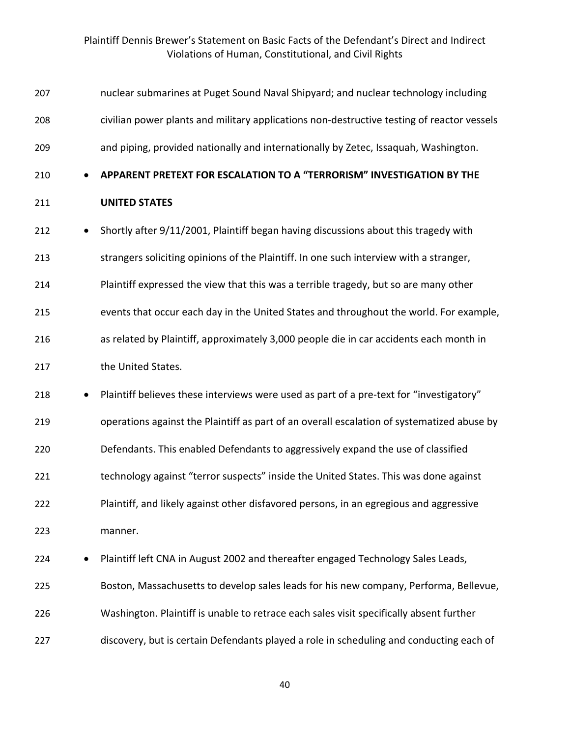| 207 |           | nuclear submarines at Puget Sound Naval Shipyard; and nuclear technology including         |
|-----|-----------|--------------------------------------------------------------------------------------------|
| 208 |           | civilian power plants and military applications non-destructive testing of reactor vessels |
| 209 |           | and piping, provided nationally and internationally by Zetec, Issaquah, Washington.        |
| 210 |           | APPARENT PRETEXT FOR ESCALATION TO A "TERRORISM" INVESTIGATION BY THE                      |
| 211 |           | <b>UNITED STATES</b>                                                                       |
| 212 | $\bullet$ | Shortly after 9/11/2001, Plaintiff began having discussions about this tragedy with        |
| 213 |           | strangers soliciting opinions of the Plaintiff. In one such interview with a stranger,     |
| 214 |           | Plaintiff expressed the view that this was a terrible tragedy, but so are many other       |
| 215 |           | events that occur each day in the United States and throughout the world. For example,     |
| 216 |           | as related by Plaintiff, approximately 3,000 people die in car accidents each month in     |
| 217 |           | the United States.                                                                         |
| 218 | $\bullet$ | Plaintiff believes these interviews were used as part of a pre-text for "investigatory"    |
| 219 |           | operations against the Plaintiff as part of an overall escalation of systematized abuse by |
| 220 |           | Defendants. This enabled Defendants to aggressively expand the use of classified           |
| 221 |           | technology against "terror suspects" inside the United States. This was done against       |
| 222 |           | Plaintiff, and likely against other disfavored persons, in an egregious and aggressive     |
| 223 |           | manner.                                                                                    |
| 224 |           | Plaintiff left CNA in August 2002 and thereafter engaged Technology Sales Leads,           |
| 225 |           | Boston, Massachusetts to develop sales leads for his new company, Performa, Bellevue,      |
| 226 |           | Washington. Plaintiff is unable to retrace each sales visit specifically absent further    |
| 227 |           | discovery, but is certain Defendants played a role in scheduling and conducting each of    |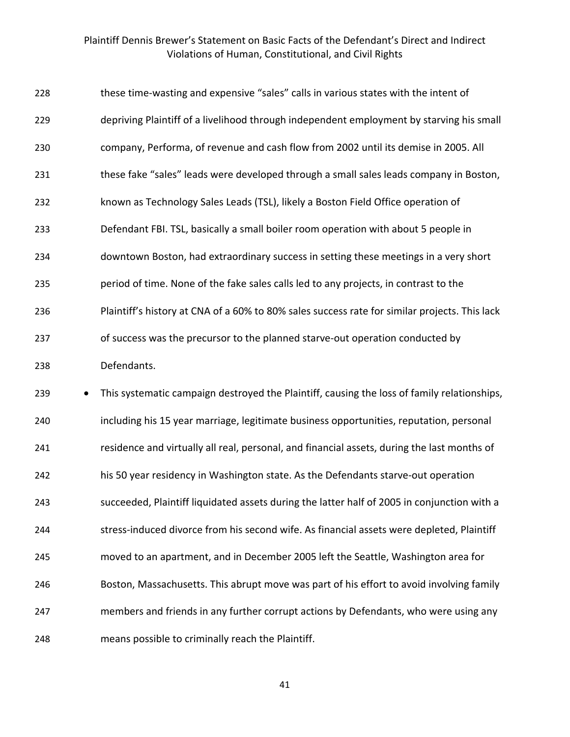| 228 | these time-wasting and expensive "sales" calls in various states with the intent of           |
|-----|-----------------------------------------------------------------------------------------------|
| 229 | depriving Plaintiff of a livelihood through independent employment by starving his small      |
| 230 | company, Performa, of revenue and cash flow from 2002 until its demise in 2005. All           |
| 231 | these fake "sales" leads were developed through a small sales leads company in Boston,        |
| 232 | known as Technology Sales Leads (TSL), likely a Boston Field Office operation of              |
| 233 | Defendant FBI. TSL, basically a small boiler room operation with about 5 people in            |
| 234 | downtown Boston, had extraordinary success in setting these meetings in a very short          |
| 235 | period of time. None of the fake sales calls led to any projects, in contrast to the          |
| 236 | Plaintiff's history at CNA of a 60% to 80% sales success rate for similar projects. This lack |
| 237 | of success was the precursor to the planned starve-out operation conducted by                 |
| 238 | Defendants.                                                                                   |
| 239 | This systematic campaign destroyed the Plaintiff, causing the loss of family relationships,   |
| 240 | including his 15 year marriage, legitimate business opportunities, reputation, personal       |
| 241 | residence and virtually all real, personal, and financial assets, during the last months of   |
|     |                                                                                               |

his 50 year residency in Washington state. As the Defendants starve-out operation

succeeded, Plaintiff liquidated assets during the latter half of 2005 in conjunction with a

244 stress-induced divorce from his second wife. As financial assets were depleted, Plaintiff

moved to an apartment, and in December 2005 left the Seattle, Washington area for

Boston, Massachusetts. This abrupt move was part of his effort to avoid involving family

members and friends in any further corrupt actions by Defendants, who were using any

means possible to criminally reach the Plaintiff.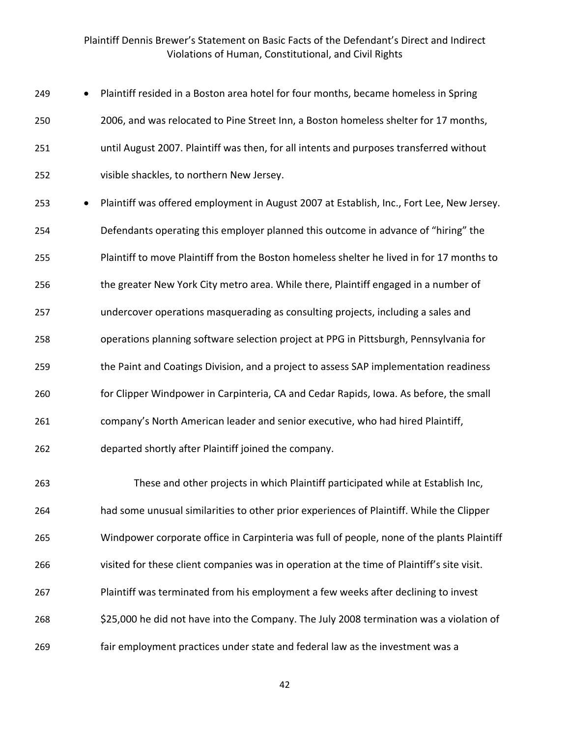| 249 | $\bullet$ | Plaintiff resided in a Boston area hotel for four months, became homeless in Spring     |
|-----|-----------|-----------------------------------------------------------------------------------------|
| 250 |           | 2006, and was relocated to Pine Street Inn, a Boston homeless shelter for 17 months,    |
| 251 |           | until August 2007. Plaintiff was then, for all intents and purposes transferred without |
| 252 |           | visible shackles, to northern New Jersey.                                               |
|     |           |                                                                                         |

 • Plaintiff was offered employment in August 2007 at Establish, Inc., Fort Lee, New Jersey. Defendants operating this employer planned this outcome in advance of "hiring" the Plaintiff to move Plaintiff from the Boston homeless shelter he lived in for 17 months to the greater New York City metro area. While there, Plaintiff engaged in a number of undercover operations masquerading as consulting projects, including a sales and operations planning software selection project at PPG in Pittsburgh, Pennsylvania for the Paint and Coatings Division, and a project to assess SAP implementation readiness for Clipper Windpower in Carpinteria, CA and Cedar Rapids, Iowa. As before, the small company's North American leader and senior executive, who had hired Plaintiff, departed shortly after Plaintiff joined the company.

 These and other projects in which Plaintiff participated while at Establish Inc, had some unusual similarities to other prior experiences of Plaintiff. While the Clipper Windpower corporate office in Carpinteria was full of people, none of the plants Plaintiff visited for these client companies was in operation at the time of Plaintiff's site visit. Plaintiff was terminated from his employment a few weeks after declining to invest 268 \$25,000 he did not have into the Company. The July 2008 termination was a violation of fair employment practices under state and federal law as the investment was a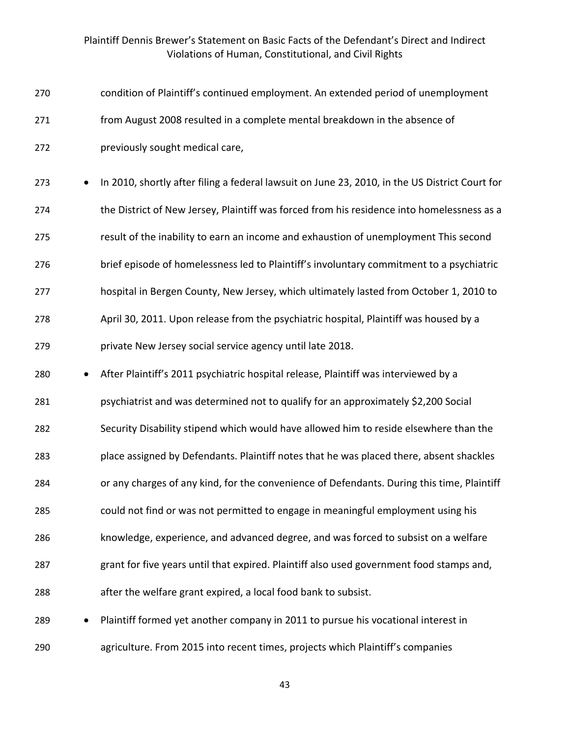| 270 | condition of Plaintiff's continued employment. An extended period of unemployment              |
|-----|------------------------------------------------------------------------------------------------|
| 271 | from August 2008 resulted in a complete mental breakdown in the absence of                     |
| 272 | previously sought medical care,                                                                |
| 273 | In 2010, shortly after filing a federal lawsuit on June 23, 2010, in the US District Court for |
| 274 | the District of New Jersey, Plaintiff was forced from his residence into homelessness as a     |
| 275 | result of the inability to earn an income and exhaustion of unemployment This second           |
| 276 | brief episode of homelessness led to Plaintiff's involuntary commitment to a psychiatric       |
| 277 | hospital in Bergen County, New Jersey, which ultimately lasted from October 1, 2010 to         |
| 278 | April 30, 2011. Upon release from the psychiatric hospital, Plaintiff was housed by a          |
| 279 | private New Jersey social service agency until late 2018.                                      |
| 280 | After Plaintiff's 2011 psychiatric hospital release, Plaintiff was interviewed by a            |
| 281 | psychiatrist and was determined not to qualify for an approximately \$2,200 Social             |
| 282 | Security Disability stipend which would have allowed him to reside elsewhere than the          |
| 283 | place assigned by Defendants. Plaintiff notes that he was placed there, absent shackles        |
| 284 | or any charges of any kind, for the convenience of Defendants. During this time, Plaintiff     |
| 285 | could not find or was not permitted to engage in meaningful employment using his               |
| 286 | knowledge, experience, and advanced degree, and was forced to subsist on a welfare             |
| 287 | grant for five years until that expired. Plaintiff also used government food stamps and,       |
| 288 | after the welfare grant expired, a local food bank to subsist.                                 |
| 289 | Plaintiff formed yet another company in 2011 to pursue his vocational interest in<br>$\bullet$ |
| 290 | agriculture. From 2015 into recent times, projects which Plaintiff's companies                 |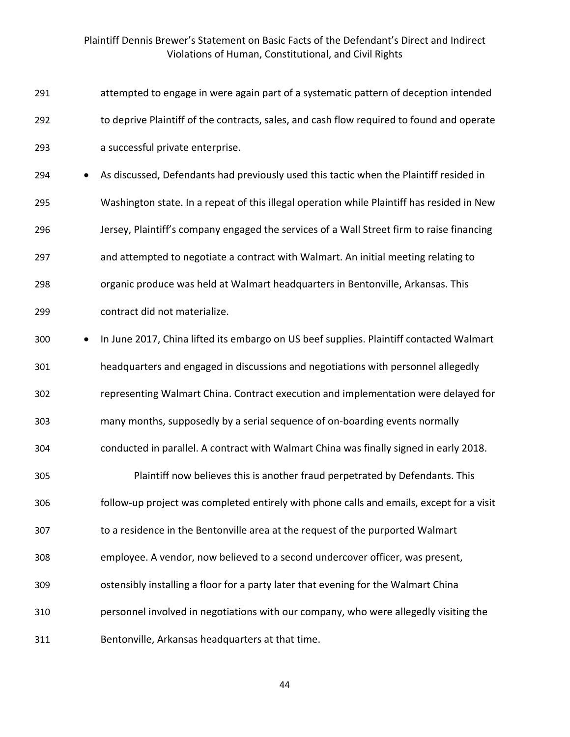| 291              | attempted to engage in were again part of a systematic pattern of deception intended       |
|------------------|--------------------------------------------------------------------------------------------|
| 292              | to deprive Plaintiff of the contracts, sales, and cash flow required to found and operate  |
| 293              | a successful private enterprise.                                                           |
| 294<br>$\bullet$ | As discussed, Defendants had previously used this tactic when the Plaintiff resided in     |
| 295              | Washington state. In a repeat of this illegal operation while Plaintiff has resided in New |
| 296              | Jersey, Plaintiff's company engaged the services of a Wall Street firm to raise financing  |
| 297              | and attempted to negotiate a contract with Walmart. An initial meeting relating to         |
| 298              | organic produce was held at Walmart headquarters in Bentonville, Arkansas. This            |
| 299              | contract did not materialize.                                                              |
| 300<br>$\bullet$ | In June 2017, China lifted its embargo on US beef supplies. Plaintiff contacted Walmart    |
| 301              | headquarters and engaged in discussions and negotiations with personnel allegedly          |
| 302              | representing Walmart China. Contract execution and implementation were delayed for         |
| 303              | many months, supposedly by a serial sequence of on-boarding events normally                |
| 304              | conducted in parallel. A contract with Walmart China was finally signed in early 2018.     |
| 305              | Plaintiff now believes this is another fraud perpetrated by Defendants. This               |
| 306              | follow-up project was completed entirely with phone calls and emails, except for a visit   |
| 307              | to a residence in the Bentonville area at the request of the purported Walmart             |
| 308              | employee. A vendor, now believed to a second undercover officer, was present,              |
| 309              | ostensibly installing a floor for a party later that evening for the Walmart China         |
| 310              | personnel involved in negotiations with our company, who were allegedly visiting the       |
| 311              | Bentonville, Arkansas headquarters at that time.                                           |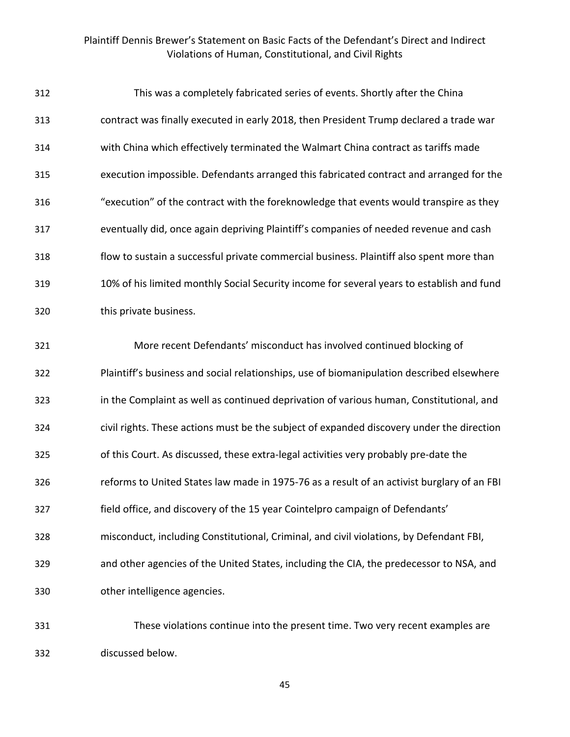| 312 | This was a completely fabricated series of events. Shortly after the China                 |
|-----|--------------------------------------------------------------------------------------------|
| 313 | contract was finally executed in early 2018, then President Trump declared a trade war     |
| 314 | with China which effectively terminated the Walmart China contract as tariffs made         |
| 315 | execution impossible. Defendants arranged this fabricated contract and arranged for the    |
| 316 | "execution" of the contract with the foreknowledge that events would transpire as they     |
| 317 | eventually did, once again depriving Plaintiff's companies of needed revenue and cash      |
| 318 | flow to sustain a successful private commercial business. Plaintiff also spent more than   |
| 319 | 10% of his limited monthly Social Security income for several years to establish and fund  |
| 320 | this private business.                                                                     |
| 321 | More recent Defendants' misconduct has involved continued blocking of                      |
| 322 | Plaintiff's business and social relationships, use of biomanipulation described elsewhere  |
| 323 | in the Complaint as well as continued deprivation of various human, Constitutional, and    |
| 324 | civil rights. These actions must be the subject of expanded discovery under the direction  |
| 325 | of this Court. As discussed, these extra-legal activities very probably pre-date the       |
| 326 | reforms to United States law made in 1975-76 as a result of an activist burglary of an FBI |
| 327 | field office, and discovery of the 15 year Cointelpro campaign of Defendants'              |
| 328 | misconduct, including Constitutional, Criminal, and civil violations, by Defendant FBI,    |
| 329 | and other agencies of the United States, including the CIA, the predecessor to NSA, and    |
| 330 | other intelligence agencies.                                                               |
| 331 | These violations continue into the present time. Two very recent examples are              |

discussed below.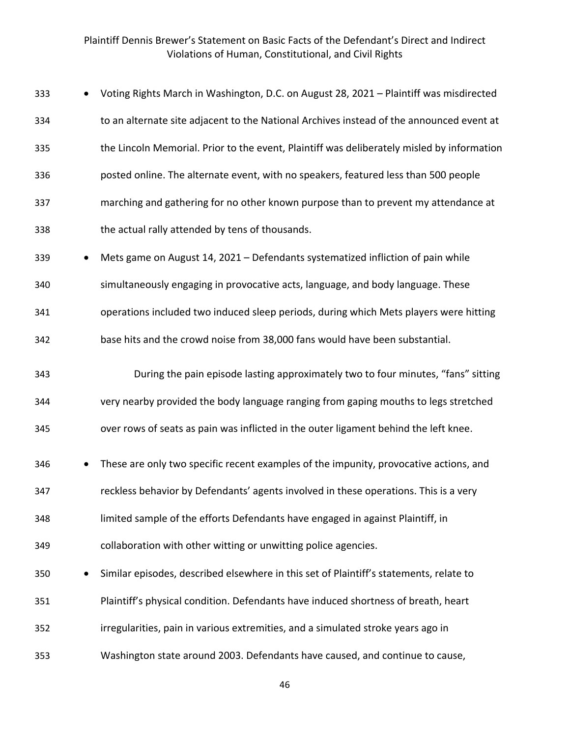| 333 |           | Voting Rights March in Washington, D.C. on August 28, 2021 - Plaintiff was misdirected     |
|-----|-----------|--------------------------------------------------------------------------------------------|
| 334 |           | to an alternate site adjacent to the National Archives instead of the announced event at   |
| 335 |           | the Lincoln Memorial. Prior to the event, Plaintiff was deliberately misled by information |
| 336 |           | posted online. The alternate event, with no speakers, featured less than 500 people        |
| 337 |           | marching and gathering for no other known purpose than to prevent my attendance at         |
| 338 |           | the actual rally attended by tens of thousands.                                            |
| 339 |           | Mets game on August 14, 2021 - Defendants systematized infliction of pain while            |
| 340 |           | simultaneously engaging in provocative acts, language, and body language. These            |
| 341 |           | operations included two induced sleep periods, during which Mets players were hitting      |
| 342 |           | base hits and the crowd noise from 38,000 fans would have been substantial.                |
| 343 |           | During the pain episode lasting approximately two to four minutes, "fans" sitting          |
| 344 |           | very nearby provided the body language ranging from gaping mouths to legs stretched        |
| 345 |           | over rows of seats as pain was inflicted in the outer ligament behind the left knee.       |
| 346 |           | These are only two specific recent examples of the impunity, provocative actions, and      |
| 347 |           | reckless behavior by Defendants' agents involved in these operations. This is a very       |
| 348 |           | limited sample of the efforts Defendants have engaged in against Plaintiff, in             |
| 349 |           | collaboration with other witting or unwitting police agencies.                             |
| 350 | $\bullet$ | Similar episodes, described elsewhere in this set of Plaintiff's statements, relate to     |
| 351 |           | Plaintiff's physical condition. Defendants have induced shortness of breath, heart         |
| 352 |           | irregularities, pain in various extremities, and a simulated stroke years ago in           |
| 353 |           | Washington state around 2003. Defendants have caused, and continue to cause,               |
|     |           |                                                                                            |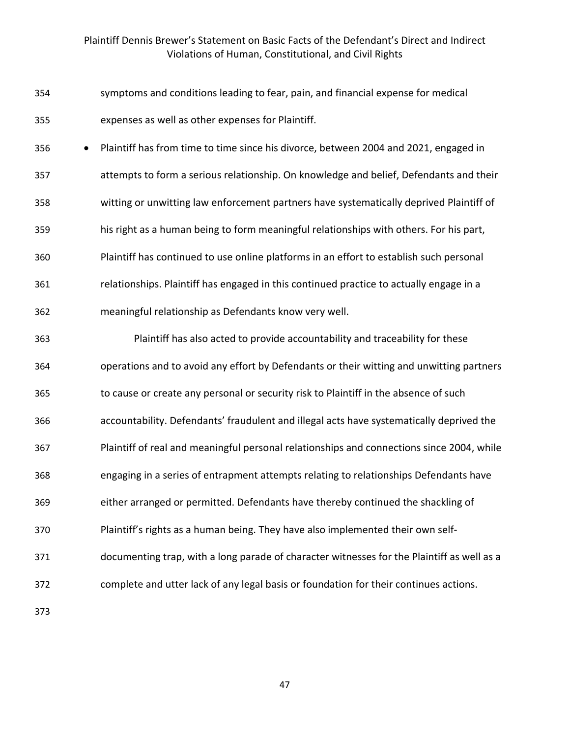- symptoms and conditions leading to fear, pain, and financial expense for medical expenses as well as other expenses for Plaintiff.
- Plaintiff has from time to time since his divorce, between 2004 and 2021, engaged in attempts to form a serious relationship. On knowledge and belief, Defendants and their witting or unwitting law enforcement partners have systematically deprived Plaintiff of his right as a human being to form meaningful relationships with others. For his part, Plaintiff has continued to use online platforms in an effort to establish such personal relationships. Plaintiff has engaged in this continued practice to actually engage in a meaningful relationship as Defendants know very well.
- Plaintiff has also acted to provide accountability and traceability for these operations and to avoid any effort by Defendants or their witting and unwitting partners to cause or create any personal or security risk to Plaintiff in the absence of such accountability. Defendants' fraudulent and illegal acts have systematically deprived the Plaintiff of real and meaningful personal relationships and connections since 2004, while engaging in a series of entrapment attempts relating to relationships Defendants have either arranged or permitted. Defendants have thereby continued the shackling of Plaintiff's rights as a human being. They have also implemented their own self- documenting trap, with a long parade of character witnesses for the Plaintiff as well as a complete and utter lack of any legal basis or foundation for their continues actions.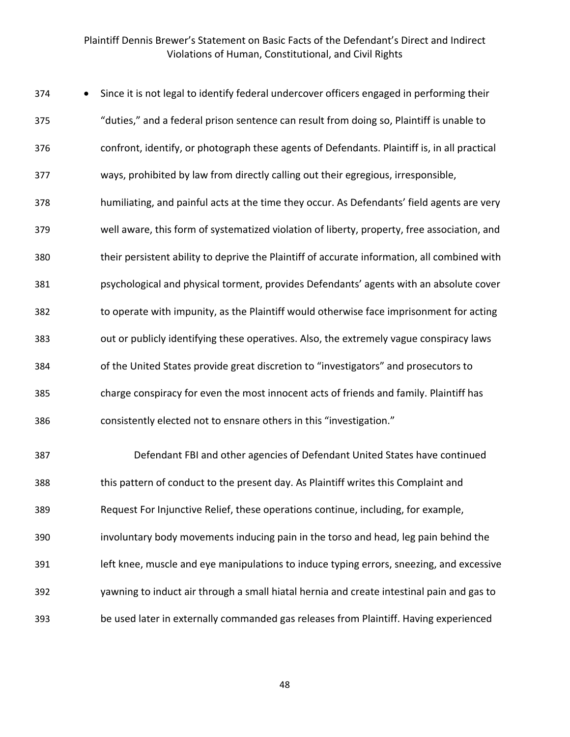| 374 | Since it is not legal to identify federal undercover officers engaged in performing their    |
|-----|----------------------------------------------------------------------------------------------|
| 375 | "duties," and a federal prison sentence can result from doing so, Plaintiff is unable to     |
| 376 | confront, identify, or photograph these agents of Defendants. Plaintiff is, in all practical |
| 377 | ways, prohibited by law from directly calling out their egregious, irresponsible,            |
| 378 | humiliating, and painful acts at the time they occur. As Defendants' field agents are very   |
| 379 | well aware, this form of systematized violation of liberty, property, free association, and  |
| 380 | their persistent ability to deprive the Plaintiff of accurate information, all combined with |
| 381 | psychological and physical torment, provides Defendants' agents with an absolute cover       |
| 382 | to operate with impunity, as the Plaintiff would otherwise face imprisonment for acting      |
| 383 | out or publicly identifying these operatives. Also, the extremely vague conspiracy laws      |
| 384 | of the United States provide great discretion to "investigators" and prosecutors to          |
| 385 | charge conspiracy for even the most innocent acts of friends and family. Plaintiff has       |
| 386 | consistently elected not to ensnare others in this "investigation."                          |
| 387 | Defendant FBI and other agencies of Defendant United States have continued                   |
| 388 | this pattern of conduct to the present day. As Plaintiff writes this Complaint and           |
| 389 | Request For Injunctive Relief, these operations continue, including, for example,            |
| 390 | involuntary body movements inducing pain in the torso and head, leg pain behind the          |
| 391 | left knee, muscle and eye manipulations to induce typing errors, sneezing, and excessive     |
| 392 | yawning to induct air through a small hiatal hernia and create intestinal pain and gas to    |
| 393 | be used later in externally commanded gas releases from Plaintiff. Having experienced        |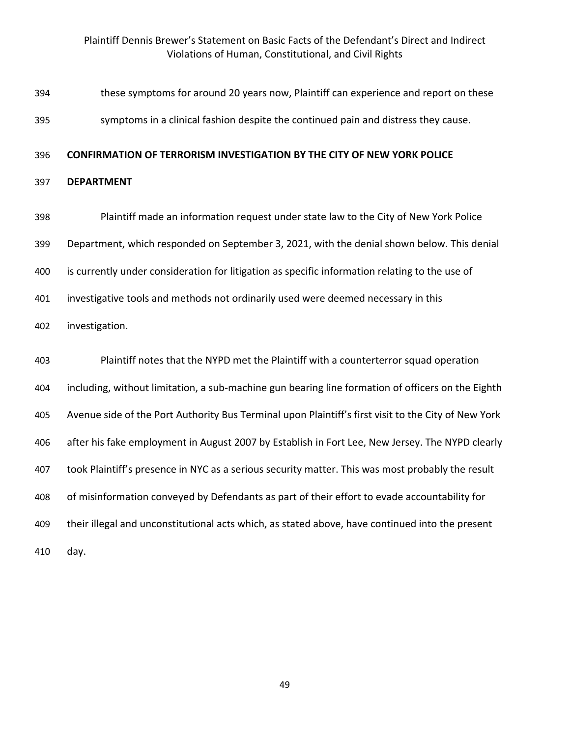| 394 | these symptoms for around 20 years now, Plaintiff can experience and report on these                |
|-----|-----------------------------------------------------------------------------------------------------|
| 395 | symptoms in a clinical fashion despite the continued pain and distress they cause.                  |
| 396 | <b>CONFIRMATION OF TERRORISM INVESTIGATION BY THE CITY OF NEW YORK POLICE</b>                       |
| 397 | <b>DEPARTMENT</b>                                                                                   |
| 398 | Plaintiff made an information request under state law to the City of New York Police                |
| 399 | Department, which responded on September 3, 2021, with the denial shown below. This denial          |
| 400 | is currently under consideration for litigation as specific information relating to the use of      |
| 401 | investigative tools and methods not ordinarily used were deemed necessary in this                   |
| 402 | investigation.                                                                                      |
| 403 | Plaintiff notes that the NYPD met the Plaintiff with a counterterror squad operation                |
| 404 | including, without limitation, a sub-machine gun bearing line formation of officers on the Eighth   |
| 405 | Avenue side of the Port Authority Bus Terminal upon Plaintiff's first visit to the City of New York |
| 406 | after his fake employment in August 2007 by Establish in Fort Lee, New Jersey. The NYPD clearly     |
| 407 | took Plaintiff's presence in NYC as a serious security matter. This was most probably the result    |
| 408 | of misinformation conveyed by Defendants as part of their effort to evade accountability for        |
| 409 | their illegal and unconstitutional acts which, as stated above, have continued into the present     |
| 410 | day.                                                                                                |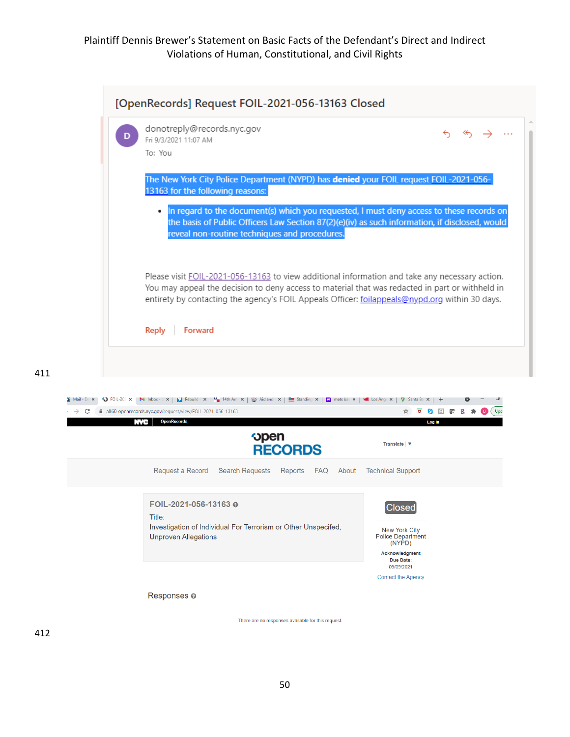|                             | donotreply@records.nyc.gov<br>Fri 9/3/2021 11:07 AM<br>To: You                                                                                                                                                                                                                                                                        |
|-----------------------------|---------------------------------------------------------------------------------------------------------------------------------------------------------------------------------------------------------------------------------------------------------------------------------------------------------------------------------------|
|                             | The New York City Police Department (NYPD) has <b>denied</b> your FOIL request FOIL-2021-056-<br>13163 for the following reasons:                                                                                                                                                                                                     |
|                             | In regard to the document(s) which you requested, I must deny access to these records on<br>the basis of Public Officers Law Section 87(2)(e)(iv) as such information, if disclosed, would<br>reveal non-routine techniques and procedures.                                                                                           |
|                             | Please visit FOIL-2021-056-13163 to view additional information and take any necessary action.<br>You may appeal the decision to deny access to material that was redacted in part or withheld in<br>entirety by contacting the agency's FOIL Appeals Officer: follappeals@nypd.org within 30 days.                                   |
|                             | Forward<br><b>Reply</b>                                                                                                                                                                                                                                                                                                               |
|                             |                                                                                                                                                                                                                                                                                                                                       |
|                             |                                                                                                                                                                                                                                                                                                                                       |
| $\bullet$ FOIL-202 $\times$ | <b>M</b> Inbox - $c \times  $ <b>X</b> Rebuild $\cdot \times  $ <b>4th</b> Am $\times  $ $\cup$ Aid and $\cdot \times  $ $\equiv$ Standing $\times  $ <b>Y</b> nets ba: $\times  $ <b>4</b> Los Ang $\cdot \times  $ <b>V</b> Santa Ba $\times  $ +<br>a860-openrecords.nyc.gov/request/view/FOIL-2021-056-13163<br><b>US FR</b><br>☆ |
|                             | <b>OpenRecords</b><br>Log In<br><b>AND</b><br><b>open</b><br>Translate V<br><b>RECORDS</b>                                                                                                                                                                                                                                            |
|                             | FAQ<br>About<br><b>Technical Support</b><br>Request a Record<br><b>Search Requests</b><br>Reports                                                                                                                                                                                                                                     |
|                             | FOIL-2021-056-13163 @<br>Closed<br>Title:                                                                                                                                                                                                                                                                                             |
|                             | Investigation of Individual For Terrorism or Other Unspecifed,<br><b>New York City</b><br><b>Unproven Allegations</b><br><b>Police Department</b><br>(NYPD)<br>Acknowledgment<br>Due Date:                                                                                                                                            |

Responses <sup>o</sup>

There are no responses available for this request.

411